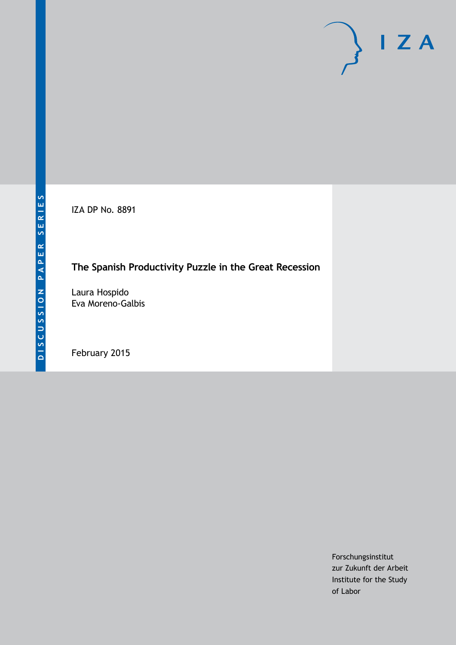IZA DP No. 8891

# **The Spanish Productivity Puzzle in the Great Recession**

Laura Hospido Eva Moreno-Galbis

February 2015

Forschungsinstitut zur Zukunft der Arbeit Institute for the Study of Labor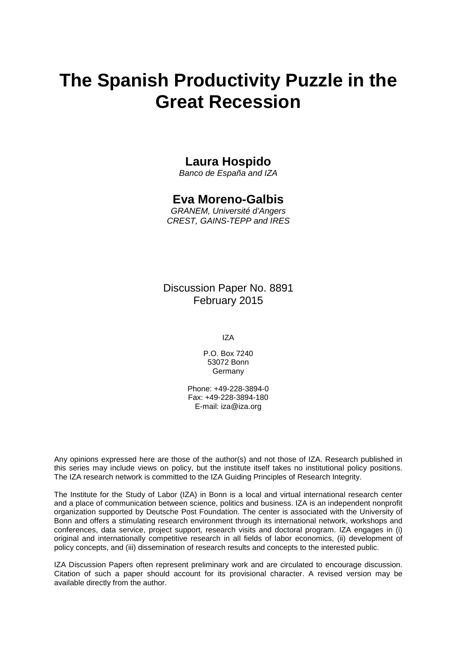# **The Spanish Productivity Puzzle in the Great Recession**

# **Laura Hospido**

*Banco de España and IZA*

# **Eva Moreno-Galbis**

*GRANEM, Université d'Angers CREST, GAINS-TEPP and IRES*

Discussion Paper No. 8891 February 2015

IZA

P.O. Box 7240 53072 Bonn Germany

Phone: +49-228-3894-0 Fax: +49-228-3894-180 E-mail: [iza@iza.org](mailto:iza@iza.org)

Any opinions expressed here are those of the author(s) and not those of IZA. Research published in this series may include views on policy, but the institute itself takes no institutional policy positions. The IZA research network is committed to the IZA Guiding Principles of Research Integrity.

<span id="page-1-0"></span>The Institute for the Study of Labor (IZA) in Bonn is a local and virtual international research center and a place of communication between science, politics and business. IZA is an independent nonprofit organization supported by Deutsche Post Foundation. The center is associated with the University of Bonn and offers a stimulating research environment through its international network, workshops and conferences, data service, project support, research visits and doctoral program. IZA engages in (i) original and internationally competitive research in all fields of labor economics, (ii) development of policy concepts, and (iii) dissemination of research results and concepts to the interested public.

IZA Discussion Papers often represent preliminary work and are circulated to encourage discussion. Citation of such a paper should account for its provisional character. A revised version may be available directly from the author.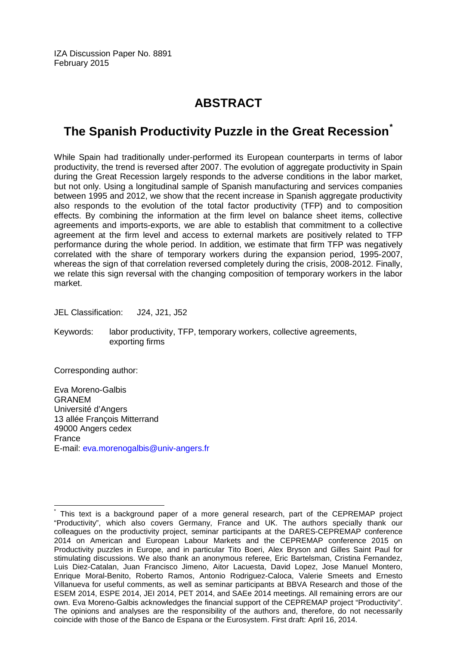IZA Discussion Paper No. 8891 February 2015

# **ABSTRACT**

# **The Spanish Productivity Puzzle in the Great Recession[\\*](#page-1-0)**

While Spain had traditionally under-performed its European counterparts in terms of labor productivity, the trend is reversed after 2007. The evolution of aggregate productivity in Spain during the Great Recession largely responds to the adverse conditions in the labor market, but not only. Using a longitudinal sample of Spanish manufacturing and services companies between 1995 and 2012, we show that the recent increase in Spanish aggregate productivity also responds to the evolution of the total factor productivity (TFP) and to composition effects. By combining the information at the firm level on balance sheet items, collective agreements and imports-exports, we are able to establish that commitment to a collective agreement at the firm level and access to external markets are positively related to TFP performance during the whole period. In addition, we estimate that firm TFP was negatively correlated with the share of temporary workers during the expansion period, 1995-2007, whereas the sign of that correlation reversed completely during the crisis, 2008-2012. Finally, we relate this sign reversal with the changing composition of temporary workers in the labor market.

JEL Classification: J24, J21, J52

Keywords: labor productivity, TFP, temporary workers, collective agreements, exporting firms

Corresponding author:

Eva Moreno-Galbis GRANEM Université d'Angers 13 allée François Mitterrand 49000 Angers cedex France E-mail: [eva.morenogalbis@univ-angers.fr](mailto:eva.morenogalbis@univ-angers.fr)

This text is a background paper of a more general research, part of the CEPREMAP project "Productivity", which also covers Germany, France and UK. The authors specially thank our colleagues on the productivity project, seminar participants at the DARES-CEPREMAP conference 2014 on American and European Labour Markets and the CEPREMAP conference 2015 on Productivity puzzles in Europe, and in particular Tito Boeri, Alex Bryson and Gilles Saint Paul for stimulating discussions. We also thank an anonymous referee, Eric Bartelsman, Cristina Fernandez, Luis Diez-Catalan, Juan Francisco Jimeno, Aitor Lacuesta, David Lopez, Jose Manuel Montero, Enrique Moral-Benito, Roberto Ramos, Antonio Rodriguez-Caloca, Valerie Smeets and Ernesto Villanueva for useful comments, as well as seminar participants at BBVA Research and those of the ESEM 2014, ESPE 2014, JEI 2014, PET 2014, and SAEe 2014 meetings. All remaining errors are our own. Eva Moreno-Galbis acknowledges the financial support of the CEPREMAP project "Productivity". The opinions and analyses are the responsibility of the authors and, therefore, do not necessarily coincide with those of the Banco de Espana or the Eurosystem. First draft: April 16, 2014.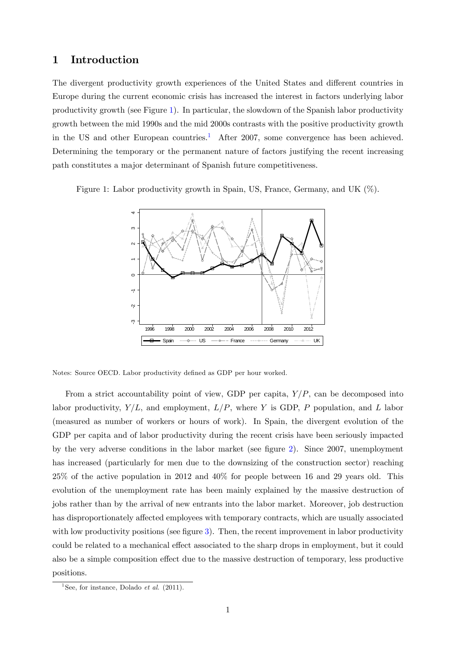### 1 Introduction

The divergent productivity growth experiences of the United States and different countries in Europe during the current economic crisis has increased the interest in factors underlying labor productivity growth (see Figure [1\)](#page-3-0). In particular, the slowdown of the Spanish labor productivity growth between the mid 1990s and the mid 2000s contrasts with the positive productivity growth in the US and other European countries.<sup>[1](#page-3-1)</sup> After 2007, some convergence has been achieved. Determining the temporary or the permanent nature of factors justifying the recent increasing path constitutes a major determinant of Spanish future competitiveness.

Figure 1: Labor productivity growth in Spain, US, France, Germany, and UK  $(\%)$ .

<span id="page-3-0"></span>

Notes: Source OECD. Labor productivity defined as GDP per hour worked.

From a strict accountability point of view, GDP per capita,  $Y/P$ , can be decomposed into labor productivity,  $Y/L$ , and employment,  $L/P$ , where Y is GDP, P population, and L labor (measured as number of workers or hours of work). In Spain, the divergent evolution of the GDP per capita and of labor productivity during the recent crisis have been seriously impacted by the very adverse conditions in the labor market (see figure [2\)](#page-4-0). Since  $2007$ , unemployment has increased (particularly for men due to the downsizing of the construction sector) reaching 25% of the active population in 2012 and 40% for people between 16 and 29 years old. This evolution of the unemployment rate has been mainly explained by the massive destruction of jobs rather than by the arrival of new entrants into the labor market. Moreover, job destruction has disproportionately affected employees with temporary contracts, which are usually associated with low productivity positions (see figure  $3$ ). Then, the recent improvement in labor productivity could be related to a mechanical effect associated to the sharp drops in employment, but it could also be a simple composition effect due to the massive destruction of temporary, less productive positions.

<span id="page-3-1"></span><sup>&</sup>lt;sup>1</sup>See, for instance, Dolado *et al.* (2011).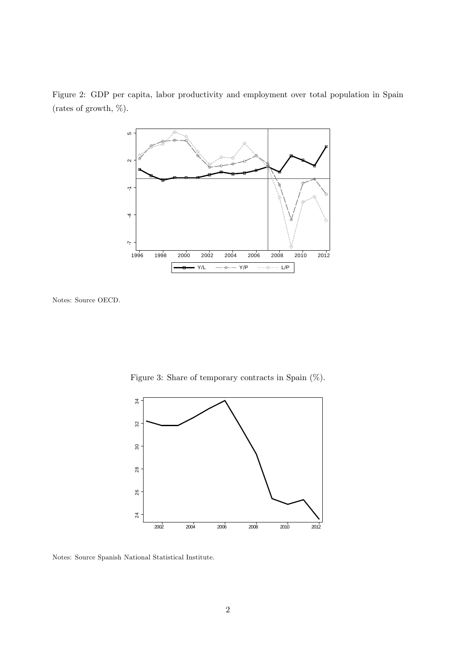

<span id="page-4-0"></span>Figure 2: GDP per capita, labor productivity and employment over total population in Spain (rates of growth,  $\%$ ).

Notes: Source OECD.

<span id="page-4-1"></span>Figure 3: Share of temporary contracts in Spain  $(\%)$ .



Notes: Source Spanish National Statistical Institute.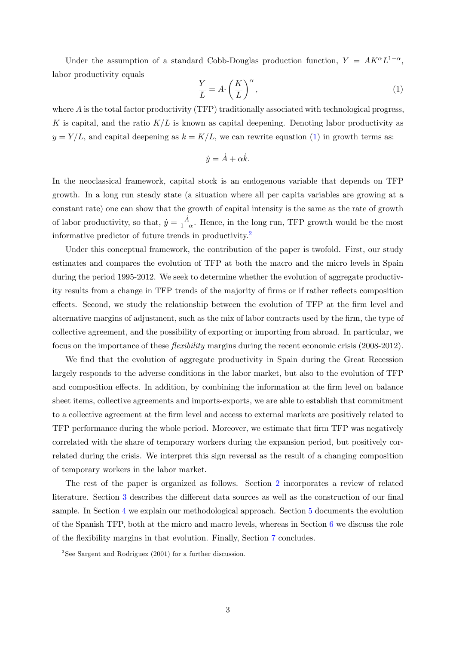Under the assumption of a standard Cobb-Douglas production function,  $Y = AK^{\alpha}L^{1-\alpha}$ , labor productivity equals

<span id="page-5-0"></span>
$$
\frac{Y}{L} = A \cdot \left(\frac{K}{L}\right)^{\alpha},\tag{1}
$$

where A is the total factor productivity (TFP) traditionally associated with technological progress, K is capital, and the ratio  $K/L$  is known as capital deepening. Denoting labor productivity as  $y = Y/L$ , and capital deepening as  $k = K/L$ , we can rewrite equation [\(1\)](#page-5-0) in growth terms as:

$$
\dot{y} = \dot{A} + \alpha \dot{k}.
$$

In the neoclassical framework, capital stock is an endogenous variable that depends on TFP growth. In a long run steady state (a situation where all per capita variables are growing at a constant rate) one can show that the growth of capital intensity is the same as the rate of growth of labor productivity, so that,  $\dot{y} = \frac{\dot{A}}{1 - \dot{A}}$  $\frac{A}{1-\alpha}$ . Hence, in the long run, TFP growth would be the most informative predictor of future trends in productivity.[2](#page-5-1)

Under this conceptual framework, the contribution of the paper is twofold. First, our study estimates and compares the evolution of TFP at both the macro and the micro levels in Spain during the period 1995-2012. We seek to determine whether the evolution of aggregate productivity results from a change in TFP trends of the majority of firms or if rather reflects composition effects. Second, we study the relationship between the evolution of TFP at the firm level and alternative margins of adjustment, such as the mix of labor contracts used by the firm, the type of collective agreement, and the possibility of exporting or importing from abroad. In particular, we focus on the importance of these *flexibility* margins during the recent economic crisis (2008-2012).

We find that the evolution of aggregate productivity in Spain during the Great Recession largely responds to the adverse conditions in the labor market, but also to the evolution of TFP and composition effects. In addition, by combining the information at the firm level on balance sheet items, collective agreements and imports-exports, we are able to establish that commitment to a collective agreement at the Örm level and access to external markets are positively related to TFP performance during the whole period. Moreover, we estimate that Örm TFP was negatively correlated with the share of temporary workers during the expansion period, but positively correlated during the crisis. We interpret this sign reversal as the result of a changing composition of temporary workers in the labor market.

The rest of the paper is organized as follows. Section [2](#page-6-0) incorporates a review of related literature. Section [3](#page-8-0) describes the different data sources as well as the construction of our final sample. In Section [4](#page-11-0) we explain our methodological approach. Section [5](#page-14-0) documents the evolution of the Spanish TFP, both at the micro and macro levels, whereas in Section [6](#page-19-0) we discuss the role of the flexibility margins in that evolution. Finally, Section [7](#page-24-0) concludes.

<span id="page-5-1"></span><sup>&</sup>lt;sup>2</sup>See Sargent and Rodriguez (2001) for a further discussion.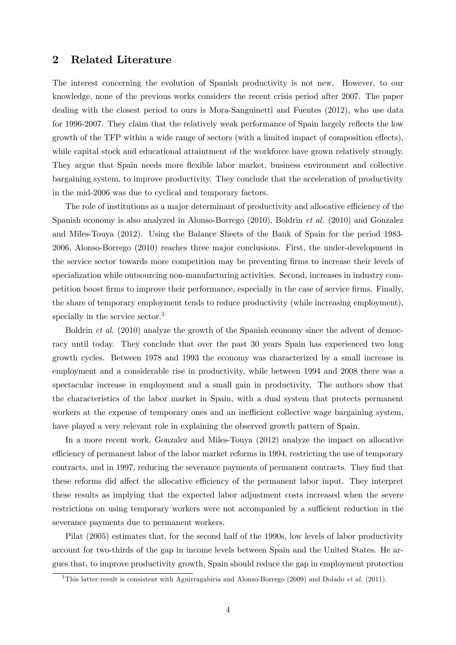### <span id="page-6-0"></span>2 Related Literature

The interest concerning the evolution of Spanish productivity is not new. However, to our knowledge, none of the previous works considers the recent crisis period after 2007. The paper dealing with the closest period to ours is Mora-Sanguinetti and Fuentes (2012), who use data for 1996-2007. They claim that the relatively weak performance of Spain largely reflects the low growth of the TFP within a wide range of sectors (with a limited impact of composition effects), while capital stock and educational attaintment of the workforce have grown relatively strongly. They argue that Spain needs more flexible labor market, business environment and collective bargaining system, to improve productivity. They conclude that the acceleration of productivity in the mid-2006 was due to cyclical and temporary factors.

The role of institutions as a major determinant of productivity and allocative efficiency of the Spanish economy is also analyzed in Alonso-Borrego (2010), Boldrin et al. (2010) and Gonzalez and Miles-Touya (2012). Using the Balance Sheets of the Bank of Spain for the period 1983- 2006, Alonso-Borrego (2010) reaches three major conclusions. First, the under-development in the service sector towards more competition may be preventing Örms to increase their levels of specialization while outsourcing non-manufacturing activities. Second, increases in industry competition boost firms to improve their performance, especially in the case of service firms. Finally, the share of temporary employment tends to reduce productivity (while increasing employment), specially in the service sector.<sup>[3](#page-6-1)</sup>

Boldrin *et al.* (2010) analyze the growth of the Spanish economy since the advent of democracy until today. They conclude that over the past 30 years Spain has experienced two long growth cycles. Between 1978 and 1993 the economy was characterized by a small increase in employment and a considerable rise in productivity, while between 1994 and 2008 there was a spectacular increase in employment and a small gain in productivity. The authors show that the characteristics of the labor market in Spain, with a dual system that protects permanent workers at the expense of temporary ones and an inefficient collective wage bargaining system, have played a very relevant role in explaining the observed growth pattern of Spain.

In a more recent work, Gonzalez and Miles-Touya (2012) analyze the impact on allocative efficiency of permanent labor of the labor market reforms in 1994, restricting the use of temporary contracts, and in 1997, reducing the severance payments of permanent contracts. They find that these reforms did affect the allocative efficiency of the permanent labor input. They interpret these results as implying that the expected labor adjustment costs increased when the severe restrictions on using temporary workers were not accompanied by a sufficient reduction in the severance payments due to permanent workers.

Pilat (2005) estimates that, for the second half of the 1990s, low levels of labor productivity account for two-thirds of the gap in income levels between Spain and the United States. He argues that, to improve productivity growth, Spain should reduce the gap in employment protection

<span id="page-6-1"></span><sup>&</sup>lt;sup>3</sup>This latter result is consistent with Aguirragabiria and Alonso-Borrego (2009) and Dolado *et al.* (2011).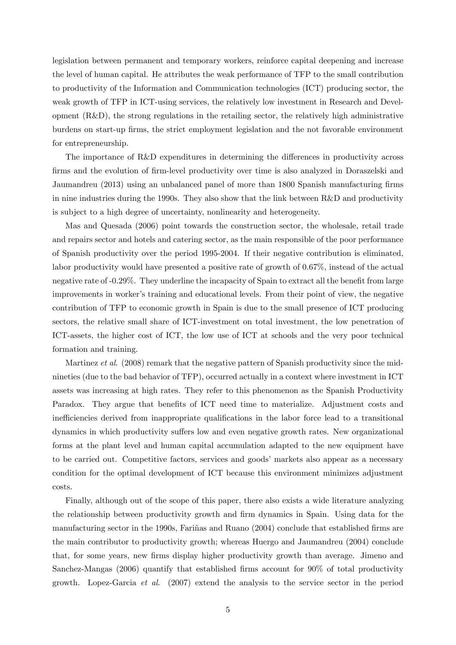legislation between permanent and temporary workers, reinforce capital deepening and increase the level of human capital. He attributes the weak performance of TFP to the small contribution to productivity of the Information and Communication technologies (ICT) producing sector, the weak growth of TFP in ICT-using services, the relatively low investment in Research and Development (R&D), the strong regulations in the retailing sector, the relatively high administrative burdens on start-up firms, the strict employment legislation and the not favorable environment for entrepreneurship.

The importance of R&D expenditures in determining the differences in productivity across firms and the evolution of firm-level productivity over time is also analyzed in Doraszelski and Jaumandreu (2013) using an unbalanced panel of more than 1800 Spanish manufacturing firms in nine industries during the 1990s. They also show that the link between R&D and productivity is subject to a high degree of uncertainty, nonlinearity and heterogeneity.

Mas and Quesada (2006) point towards the construction sector, the wholesale, retail trade and repairs sector and hotels and catering sector, as the main responsible of the poor performance of Spanish productivity over the period 1995-2004. If their negative contribution is eliminated, labor productivity would have presented a positive rate of growth of 0.67%, instead of the actual negative rate of -0.29%. They underline the incapacity of Spain to extract all the benefit from large improvements in worker's training and educational levels. From their point of view, the negative contribution of TFP to economic growth in Spain is due to the small presence of ICT producing sectors, the relative small share of ICT-investment on total investment, the low penetration of ICT-assets, the higher cost of ICT, the low use of ICT at schools and the very poor technical formation and training.

Martinez *et al.* (2008) remark that the negative pattern of Spanish productivity since the midnineties (due to the bad behavior of TFP), occurred actually in a context where investment in ICT assets was increasing at high rates. They refer to this phenomenon as the Spanish Productivity Paradox. They argue that benefits of ICT need time to materialize. Adjustment costs and inefficiencies derived from inappropriate qualifications in the labor force lead to a transitional dynamics in which productivity suffers low and even negative growth rates. New organizational forms at the plant level and human capital accumulation adapted to the new equipment have to be carried out. Competitive factors, services and goods' markets also appear as a necessary condition for the optimal development of ICT because this environment minimizes adjustment costs.

Finally, although out of the scope of this paper, there also exists a wide literature analyzing the relationship between productivity growth and firm dynamics in Spain. Using data for the manufacturing sector in the 1990s, Fariñas and Ruano (2004) conclude that established firms are the main contributor to productivity growth; whereas Huergo and Jaumandreu (2004) conclude that, for some years, new Örms display higher productivity growth than average. Jimeno and Sanchez-Mangas (2006) quantify that established firms account for 90% of total productivity growth. Lopez-Garcia et al. (2007) extend the analysis to the service sector in the period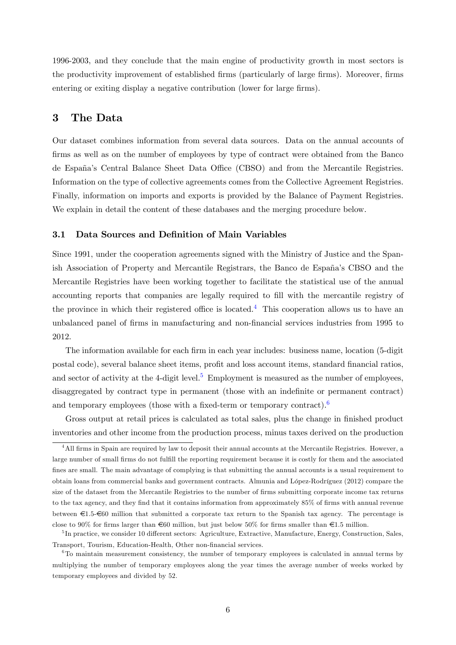1996-2003, and they conclude that the main engine of productivity growth in most sectors is the productivity improvement of established firms (particularly of large firms). Moreover, firms entering or exiting display a negative contribution (lower for large firms).

# <span id="page-8-0"></span>3 The Data

Our dataset combines information from several data sources. Data on the annual accounts of firms as well as on the number of employees by type of contract were obtained from the Banco de España's Central Balance Sheet Data Office (CBSO) and from the Mercantile Registries. Information on the type of collective agreements comes from the Collective Agreement Registries. Finally, information on imports and exports is provided by the Balance of Payment Registries. We explain in detail the content of these databases and the merging procedure below.

#### 3.1 Data Sources and Definition of Main Variables

Since 1991, under the cooperation agreements signed with the Ministry of Justice and the Spanish Association of Property and Mercantile Registrars, the Banco de España's CBSO and the Mercantile Registries have been working together to facilitate the statistical use of the annual accounting reports that companies are legally required to fill with the mercantile registry of the province in which their registered office is located.<sup>[4](#page-8-1)</sup> This cooperation allows us to have an unbalanced panel of Örms in manufacturing and non-Önancial services industries from 1995 to 2012.

The information available for each firm in each year includes: business name, location (5-digit postal code), several balance sheet items, profit and loss account items, standard financial ratios, and sector of activity at the 4-digit level.<sup>[5](#page-8-2)</sup> Employment is measured as the number of employees, disaggregated by contract type in permanent (those with an indefinite or permanent contract) and temporary employees (those with a fixed-term or temporary contract).<sup>[6](#page-8-3)</sup>

Gross output at retail prices is calculated as total sales, plus the change in finished product inventories and other income from the production process, minus taxes derived on the production

<span id="page-8-1"></span><sup>&</sup>lt;sup>4</sup> All firms in Spain are required by law to deposit their annual accounts at the Mercantile Registries. However, a large number of small firms do not fulfill the reporting requirement because it is costly for them and the associated fines are small. The main advantage of complying is that submitting the annual accounts is a usual requirement to obtain loans from commercial banks and government contracts. Almunia and López-Rodríguez (2012) compare the size of the dataset from the Mercantile Registries to the number of firms submitting corporate income tax returns to the tax agency, and they find that it contains information from approximately 85% of firms with annual revenue between  $\epsilon$ 1.5- $\epsilon$ 60 million that submitted a corporate tax return to the Spanish tax agency. The percentage is close to 90% for firms larger than  $\epsilon$ 60 million, but just below 50% for firms smaller than  $\epsilon$ 1.5 million.

<span id="page-8-2"></span> ${}^{5}$ In practice, we consider 10 different sectors: Agriculture, Extractive, Manufacture, Energy, Construction, Sales, Transport, Tourism, Education-Health, Other non-financial services.

<span id="page-8-3"></span><sup>6</sup>To maintain measurement consistency, the number of temporary employees is calculated in annual terms by multiplying the number of temporary employees along the year times the average number of weeks worked by temporary employees and divided by 52.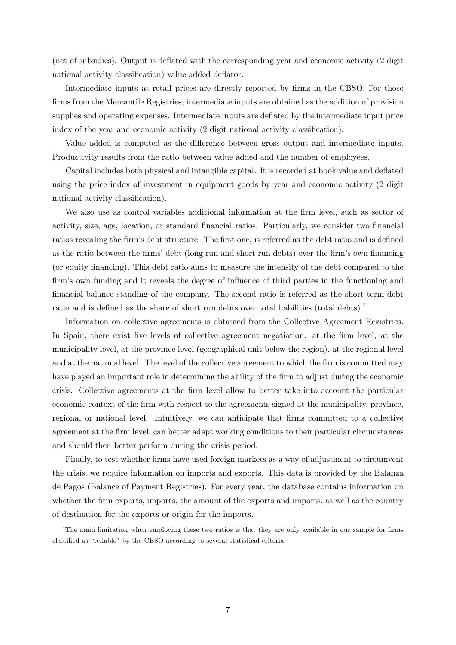(net of subsidies). Output is deflated with the corresponding year and economic activity (2 digit national activity classification) value added deflator.

Intermediate inputs at retail prices are directly reported by firms in the CBSO. For those firms from the Mercantile Registries, intermediate inputs are obtained as the addition of provision supplies and operating expenses. Intermediate inputs are deflated by the intermediate input price index of the year and economic activity (2 digit national activity classification).

Value added is computed as the difference between gross output and intermediate inputs. Productivity results from the ratio between value added and the number of employees.

Capital includes both physical and intangible capital. It is recorded at book value and deflated using the price index of investment in equipment goods by year and economic activity (2 digit national activity classification).

We also use as control variables additional information at the firm level, such as sector of activity, size, age, location, or standard financial ratios. Particularly, we consider two financial ratios revealing the firm's debt structure. The first one, is referred as the debt ratio and is defined as the ratio between the firms' debt (long run and short run debts) over the firm's own financing (or equity Önancing). This debt ratio aims to measure the intensity of the debt compared to the firm's own funding and it reveals the degree of influence of third parties in the functioning and financial balance standing of the company. The second ratio is referred as the short term debt ratio and is defined as the share of short run debts over total liabilities (total debts).<sup>[7](#page-9-0)</sup>

Information on collective agreements is obtained from the Collective Agreement Registries. In Spain, there exist five levels of collective agreement negotiation: at the firm level, at the municipality level, at the province level (geographical unit below the region), at the regional level and at the national level. The level of the collective agreement to which the firm is committed may have played an important role in determining the ability of the firm to adjust during the economic crisis. Collective agreements at the Örm level allow to better take into account the particular economic context of the firm with respect to the agreements signed at the municipality, province, regional or national level. Intuitively, we can anticipate that firms committed to a collective agreement at the Örm level, can better adapt working conditions to their particular circumstances and should then better perform during the crisis period.

Finally, to test whether firms have used foreign markets as a way of adjustment to circumvent the crisis, we require information on imports and exports. This data is provided by the Balanza de Pagos (Balance of Payment Registries). For every year, the database contains information on whether the firm exports, imports, the amount of the exports and imports, as well as the country of destination for the exports or origin for the imports.

<span id="page-9-0"></span><sup>&</sup>lt;sup>7</sup>The main limitation when employing these two ratios is that they are only available in our sample for firms classified as "reliable" by the CBSO according to several statistical criteria.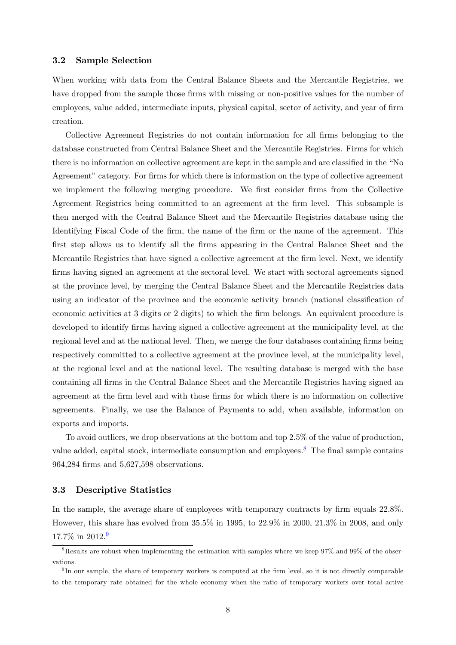#### 3.2 Sample Selection

When working with data from the Central Balance Sheets and the Mercantile Registries, we have dropped from the sample those firms with missing or non-positive values for the number of employees, value added, intermediate inputs, physical capital, sector of activity, and year of firm creation.

Collective Agreement Registries do not contain information for all Örms belonging to the database constructed from Central Balance Sheet and the Mercantile Registries. Firms for which there is no information on collective agreement are kept in the sample and are classified in the "No Agreement" category. For firms for which there is information on the type of collective agreement we implement the following merging procedure. We first consider firms from the Collective Agreement Registries being committed to an agreement at the firm level. This subsample is then merged with the Central Balance Sheet and the Mercantile Registries database using the Identifying Fiscal Code of the firm, the name of the firm or the name of the agreement. This Örst step allows us to identify all the Örms appearing in the Central Balance Sheet and the Mercantile Registries that have signed a collective agreement at the firm level. Next, we identify firms having signed an agreement at the sectoral level. We start with sectoral agreements signed at the province level, by merging the Central Balance Sheet and the Mercantile Registries data using an indicator of the province and the economic activity branch (national classification of economic activities at 3 digits or 2 digits) to which the firm belongs. An equivalent procedure is developed to identify firms having signed a collective agreement at the municipality level, at the regional level and at the national level. Then, we merge the four databases containing firms being respectively committed to a collective agreement at the province level, at the municipality level, at the regional level and at the national level. The resulting database is merged with the base containing all Örms in the Central Balance Sheet and the Mercantile Registries having signed an agreement at the firm level and with those firms for which there is no information on collective agreements. Finally, we use the Balance of Payments to add, when available, information on exports and imports.

To avoid outliers, we drop observations at the bottom and top 2.5% of the value of production, value added, capital stock, intermediate consumption and employees.<sup>[8](#page-10-0)</sup> The final sample contains 964,284 Örms and 5,627,598 observations.

#### 3.3 Descriptive Statistics

In the sample, the average share of employees with temporary contracts by firm equals  $22.8\%$ . However, this share has evolved from 35.5% in 1995, to 22.9% in 2000, 21.3% in 2008, and only 17.7% in 2012.[9](#page-10-1)

<span id="page-10-0"></span> $8$ Results are robust when implementing the estimation with samples where we keep  $97\%$  and  $99\%$  of the observations.

<span id="page-10-1"></span><sup>&</sup>lt;sup>9</sup>In our sample, the share of temporary workers is computed at the firm level, so it is not directly comparable to the temporary rate obtained for the whole economy when the ratio of temporary workers over total active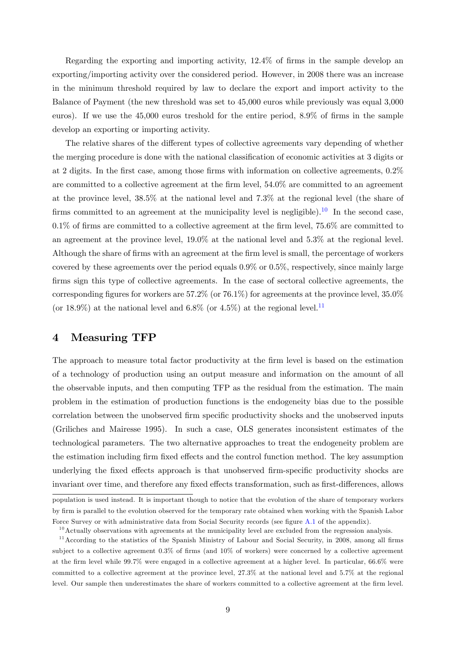Regarding the exporting and importing activity,  $12.4\%$  of firms in the sample develop an exporting/importing activity over the considered period. However, in 2008 there was an increase in the minimum threshold required by law to declare the export and import activity to the Balance of Payment (the new threshold was set to 45,000 euros while previously was equal 3,000 euros). If we use the  $45,000$  euros treshold for the entire period,  $8.9\%$  of firms in the sample develop an exporting or importing activity.

The relative shares of the different types of collective agreements vary depending of whether the merging procedure is done with the national classification of economic activities at 3 digits or at 2 digits. In the first case, among those firms with information on collective agreements,  $0.2\%$ are committed to a collective agreement at the firm level,  $54.0\%$  are committed to an agreement at the province level, 38.5% at the national level and 7.3% at the regional level (the share of firms committed to an agreement at the municipality level is negligible).<sup>[10](#page-11-1)</sup> In the second case,  $0.1\%$  of firms are committed to a collective agreement at the firm level, 75.6% are committed to an agreement at the province level, 19.0% at the national level and 5.3% at the regional level. Although the share of firms with an agreement at the firm level is small, the percentage of workers covered by these agreements over the period equals  $0.9\%$  or  $0.5\%$ , respectively, since mainly large firms sign this type of collective agreements. In the case of sectoral collective agreements, the corresponding figures for workers are  $57.2\%$  (or  $76.1\%$ ) for agreements at the province level,  $35.0\%$ (or 18.9%) at the national level and 6.8% (or 4.5%) at the regional level.<sup>[11](#page-11-2)</sup>

### <span id="page-11-0"></span>4 Measuring TFP

The approach to measure total factor productivity at the firm level is based on the estimation of a technology of production using an output measure and information on the amount of all the observable inputs, and then computing TFP as the residual from the estimation. The main problem in the estimation of production functions is the endogeneity bias due to the possible correlation between the unobserved firm specific productivity shocks and the unobserved inputs (Griliches and Mairesse 1995). In such a case, OLS generates inconsistent estimates of the technological parameters. The two alternative approaches to treat the endogeneity problem are the estimation including firm fixed effects and the control function method. The key assumption underlying the fixed effects approach is that unobserved firm-specific productivity shocks are invariant over time, and therefore any fixed effects transformation, such as first-differences, allows

population is used instead. It is important though to notice that the evolution of the share of temporary workers by Örm is parallel to the evolution observed for the temporary rate obtained when working with the Spanish Labor Force Survey or with administrative data from Social Security records (see figure [A.1](#page-28-0) of the appendix).

<span id="page-11-2"></span><span id="page-11-1"></span> $10$ Actually observations with agreements at the municipality level are excluded from the regression analysis.

 $11$ According to the statistics of the Spanish Ministry of Labour and Social Security, in 2008, among all firms subject to a collective agreement  $0.3\%$  of firms (and  $10\%$  of workers) were concerned by a collective agreement at the Örm level while 99.7% were engaged in a collective agreement at a higher level. In particular, 66.6% were committed to a collective agreement at the province level, 27.3% at the national level and 5.7% at the regional level. Our sample then underestimates the share of workers committed to a collective agreement at the firm level.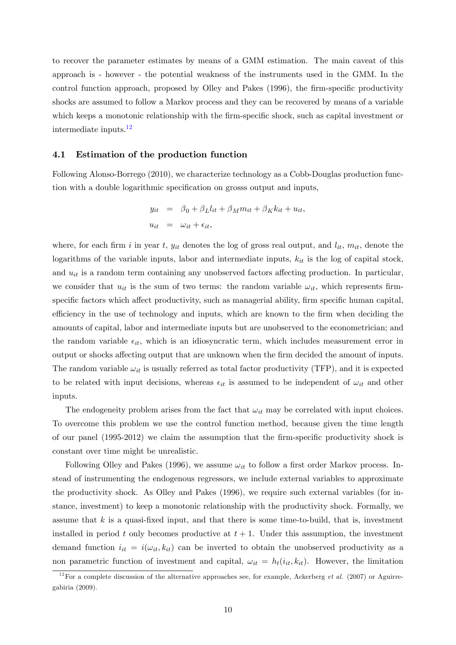to recover the parameter estimates by means of a GMM estimation. The main caveat of this approach is - however - the potential weakness of the instruments used in the GMM. In the control function approach, proposed by Olley and Pakes (1996), the firm-specific productivity shocks are assumed to follow a Markov process and they can be recovered by means of a variable which keeps a monotonic relationship with the firm-specific shock, such as capital investment or intermediate inputs.[12](#page-12-0)

#### 4.1 Estimation of the production function

Following Alonso-Borrego (2010), we characterize technology as a Cobb-Douglas production function with a double logarithmic specification on grosss output and inputs,

$$
y_{it} = \beta_0 + \beta_L l_{it} + \beta_M m_{it} + \beta_K k_{it} + u_{it},
$$
  

$$
u_{it} = \omega_{it} + \epsilon_{it},
$$

where, for each firm i in year t,  $y_{it}$  denotes the log of gross real output, and  $l_{it}$ ,  $m_{it}$ , denote the logarithms of the variable inputs, labor and intermediate inputs,  $k<sub>it</sub>$  is the log of capital stock, and  $u_{it}$  is a random term containing any unobserved factors affecting production. In particular, we consider that  $u_{it}$  is the sum of two terms: the random variable  $\omega_{it}$ , which represents firmspecific factors which affect productivity, such as managerial ability, firm specific human capital, efficiency in the use of technology and inputs, which are known to the firm when deciding the amounts of capital, labor and intermediate inputs but are unobserved to the econometrician; and the random variable  $\epsilon_{it}$ , which is an idiosyncratic term, which includes measurement error in output or shocks affecting output that are unknown when the firm decided the amount of inputs. The random variable  $\omega_{it}$  is usually referred as total factor productivity (TFP), and it is expected to be related with input decisions, whereas  $\epsilon_{it}$  is assumed to be independent of  $\omega_{it}$  and other inputs.

The endogeneity problem arises from the fact that  $\omega_{it}$  may be correlated with input choices. To overcome this problem we use the control function method, because given the time length of our panel  $(1995-2012)$  we claim the assumption that the firm-specific productivity shock is constant over time might be unrealistic.

Following Olley and Pakes (1996), we assume  $\omega_{it}$  to follow a first order Markov process. Instead of instrumenting the endogenous regressors, we include external variables to approximate the productivity shock. As Olley and Pakes (1996), we require such external variables (for instance, investment) to keep a monotonic relationship with the productivity shock. Formally, we assume that  $k$  is a quasi-fixed input, and that there is some time-to-build, that is, investment installed in period t only becomes productive at  $t + 1$ . Under this assumption, the investment demand function  $i_{it} = i(\omega_{it}, k_{it})$  can be inverted to obtain the unobserved productivity as a non parametric function of investment and capital,  $\omega_{it} = h_t(i_{it}, k_{it})$ . However, the limitation

<span id="page-12-0"></span><sup>&</sup>lt;sup>12</sup>For a complete discussion of the alternative approaches see, for example, Ackerberg *et al.* (2007) or Aguirregabiria (2009).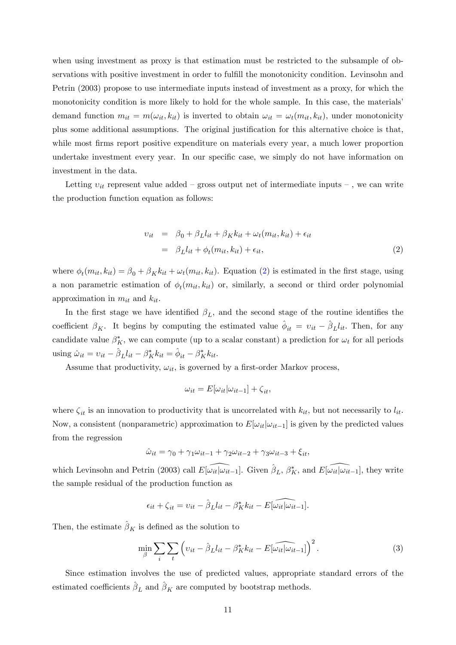when using investment as proxy is that estimation must be restricted to the subsample of observations with positive investment in order to fulfill the monotonicity condition. Levinsohn and Petrin (2003) propose to use intermediate inputs instead of investment as a proxy, for which the monotonicity condition is more likely to hold for the whole sample. In this case, the materials' demand function  $m_{it} = m(\omega_{it}, k_{it})$  is inverted to obtain  $\omega_{it} = \omega_t(m_{it}, k_{it})$ , under monotonicity plus some additional assumptions. The original justification for this alternative choice is that, while most firms report positive expenditure on materials every year, a much lower proportion undertake investment every year. In our specific case, we simply do not have information on investment in the data.

Letting  $v_{it}$  represent value added – gross output net of intermediate inputs –, we can write the production function equation as follows:

<span id="page-13-0"></span>
$$
v_{it} = \beta_0 + \beta_L l_{it} + \beta_K k_{it} + \omega_t (m_{it}, k_{it}) + \epsilon_{it}
$$
  
=  $\beta_L l_{it} + \phi_t (m_{it}, k_{it}) + \epsilon_{it},$  (2)

where  $\phi_t(m_{it}, k_{it}) = \beta_0 + \beta_K k_{it} + \omega_t(m_{it}, k_{it})$ . Equation [\(2\)](#page-13-0) is estimated in the first stage, using a non parametric estimation of  $\phi_t(m_{it}, k_{it})$  or, similarly, a second or third order polynomial approximation in  $m_{it}$  and  $k_{it}$ .

In the first stage we have identified  $\beta_L$ , and the second stage of the routine identifies the coefficient  $\beta_K$ . It begins by computing the estimated value  $\hat{\phi}_{it} = v_{it} - \hat{\beta}_L l_{it}$ . Then, for any candidate value  $\beta_K^*$ , we can compute (up to a scalar constant) a prediction for  $\omega_t$  for all periods using  $\hat{\omega}_{it} = v_{it} - \hat{\beta}_L l_{it} - \beta_K^* k_{it} = \hat{\phi}_{it} - \beta_K^* k_{it}.$ 

Assume that productivity,  $\omega_{it}$ , is governed by a first-order Markov process,

$$
\omega_{it} = E[\omega_{it}|\omega_{it-1}] + \zeta_{it},
$$

where  $\zeta_{it}$  is an innovation to productivity that is uncorrelated with  $k_{it}$ , but not necessarily to  $l_{it}$ . Now, a consistent (nonparametric) approximation to  $E[\omega_{it}|\omega_{it-1}]$  is given by the predicted values from the regression

$$
\hat{\omega}_{it} = \gamma_0 + \gamma_1 \omega_{it-1} + \gamma_2 \omega_{it-2} + \gamma_3 \omega_{it-3} + \xi_{it},
$$

which Levinsohn and Petrin (2003) call  $E[\widetilde{\omega_{it}}|\widetilde{\omega_{it-1}}]$ . Given  $\hat{\beta}_L$ ,  $\beta_K^*$ , and  $E[\widetilde{\omega_{it}}|\widetilde{\omega_{it-1}}]$ , they write the sample residual of the production function as

$$
\epsilon_{it} + \zeta_{it} = v_{it} - \hat{\beta}_L l_{it} - \beta_K^* k_{it} - E[\widehat{\omega_{it}}] \widehat{\omega_{it-1}}].
$$

Then, the estimate  $\hat{\boldsymbol{\beta}}_K$  is defined as the solution to

$$
\min_{\beta} \sum_{i} \sum_{t} \left( v_{it} - \hat{\beta}_{L} l_{it} - \beta_{K}^{*} k_{it} - E[\widehat{\omega_{it}} | \omega_{it-1}] \right)^{2}.
$$
 (3)

Since estimation involves the use of predicted values, appropriate standard errors of the estimated coefficients  $\hat{\boldsymbol{\beta}}_L$  and  $\hat{\boldsymbol{\beta}}_K$  are computed by bootstrap methods.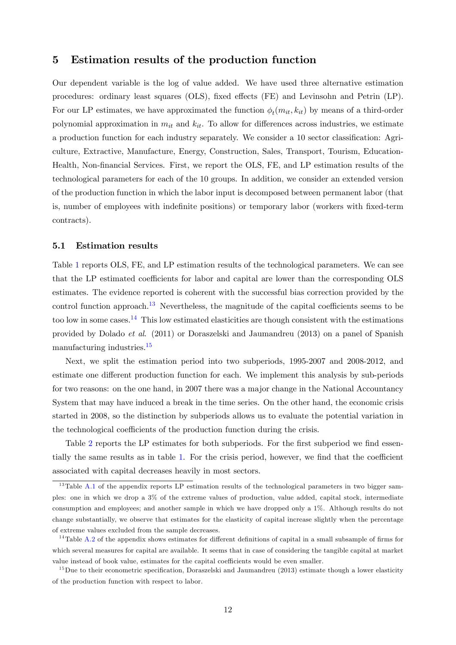### <span id="page-14-0"></span>5 Estimation results of the production function

Our dependent variable is the log of value added. We have used three alternative estimation procedures: ordinary least squares (OLS), fixed effects (FE) and Levinsohn and Petrin (LP). For our LP estimates, we have approximated the function  $\phi_t(m_{it}, k_{it})$  by means of a third-order polynomial approximation in  $m_{it}$  and  $k_{it}$ . To allow for differences across industries, we estimate a production function for each industry separately. We consider a 10 sector classification: Agriculture, Extractive, Manufacture, Energy, Construction, Sales, Transport, Tourism, Education-Health, Non-Önancial Services. First, we report the OLS, FE, and LP estimation results of the technological parameters for each of the 10 groups. In addition, we consider an extended version of the production function in which the labor input is decomposed between permanent labor (that is, number of employees with indefinite positions) or temporary labor (workers with fixed-term contracts).

#### <span id="page-14-4"></span>5.1 Estimation results

Table [1](#page-15-0) reports OLS, FE, and LP estimation results of the technological parameters. We can see that the LP estimated coefficients for labor and capital are lower than the corresponding OLS estimates. The evidence reported is coherent with the successful bias correction provided by the control function approach.<sup>[13](#page-14-1)</sup> Nevertheless, the magnitude of the capital coefficients seems to be too low in some cases.<sup>[14](#page-14-2)</sup> This low estimated elasticities are though consistent with the estimations provided by Dolado et al. (2011) or Doraszelski and Jaumandreu (2013) on a panel of Spanish manufacturing industries.[15](#page-14-3)

Next, we split the estimation period into two subperiods, 1995-2007 and 2008-2012, and estimate one different production function for each. We implement this analysis by sub-periods for two reasons: on the one hand, in 2007 there was a major change in the National Accountancy System that may have induced a break in the time series. On the other hand, the economic crisis started in 2008, so the distinction by subperiods allows us to evaluate the potential variation in the technological coefficients of the production function during the crisis.

Table [2](#page-16-0) reports the LP estimates for both subperiods. For the first subperiod we find essen-tially the same results as in table [1.](#page-15-0) For the crisis period, however, we find that the coefficient associated with capital decreases heavily in most sectors.

<span id="page-14-1"></span><sup>&</sup>lt;sup>13</sup>Table [A.1](#page-27-0) of the appendix reports LP estimation results of the technological parameters in two bigger samples: one in which we drop a 3% of the extreme values of production, value added, capital stock, intermediate consumption and employees; and another sample in which we have dropped only a 1%. Although results do not change substantially, we observe that estimates for the elasticity of capital increase slightly when the percentage of extreme values excluded from the sample decreases.

<span id="page-14-2"></span> $14$ Table [A.2](#page-28-1) of the appendix shows estimates for different definitions of capital in a small subsample of firms for which several measures for capital are available. It seems that in case of considering the tangible capital at market value instead of book value, estimates for the capital coefficients would be even smaller.

<span id="page-14-3"></span> $15$ Due to their econometric specification, Doraszelski and Jaumandreu (2013) estimate though a lower elasticity of the production function with respect to labor.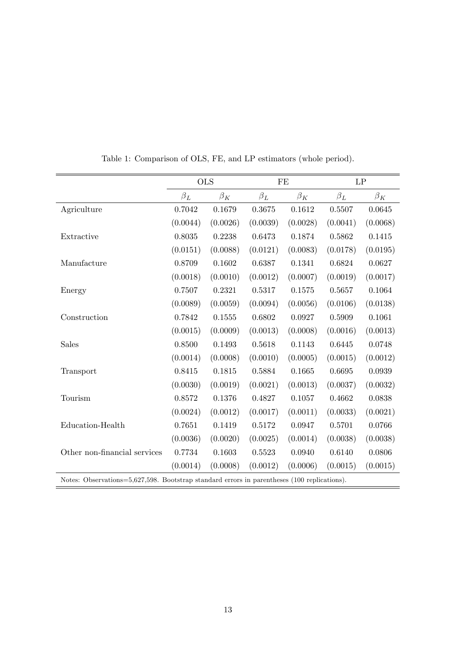|                               |           | <b>OLS</b> | $\rm FE$   |             | $\mathrm{LP}$ |           |
|-------------------------------|-----------|------------|------------|-------------|---------------|-----------|
|                               | $\beta_L$ | $\beta_K$  | $\beta_L$  | $\beta_K$   | $\beta_L$     | $\beta_K$ |
| Agriculture                   | 0.7042    | 0.1679     | 0.3675     | 0.1612      | 0.5507        | 0.0645    |
|                               | (0.0044)  | (0.0026)   | (0.0039)   | (0.0028)    | (0.0041)      | (0.0068)  |
| Extractive                    | 0.8035    | 0.2238     | 0.6473     | 0.1874      | 0.5862        | 0.1415    |
|                               | (0.0151)  | (0.0088)   | (0.0121)   | (0.0083)    | (0.0178)      | (0.0195)  |
| Manufacture                   | 0.8709    | 0.1602     | 0.6387     | 0.1341      | 0.6824        | 0.0627    |
|                               | (0.0018)  | (0.0010)   | (0.0012)   | (0.0007)    | (0.0019)      | (0.0017)  |
| Energy                        | 0.7507    | 0.2321     | 0.5317     | 0.1575      | 0.5657        | 0.1064    |
|                               | (0.0089)  | (0.0059)   | (0.0094)   | (0.0056)    | (0.0106)      | (0.0138)  |
| Construction                  | 0.7842    | 0.1555     | 0.6802     | 0.0927      | 0.5909        | 0.1061    |
|                               | (0.0015)  | (0.0009)   | (0.0013)   | (0.0008)    | (0.0016)      | (0.0013)  |
| <b>Sales</b>                  | 0.8500    | 0.1493     | $0.5618\,$ | $0.1143\,$  | 0.6445        | 0.0748    |
|                               | (0.0014)  | (0.0008)   | (0.0010)   | (0.0005)    | (0.0015)      | (0.0012)  |
| Transport                     | 0.8415    | 0.1815     | 0.5884     | 0.1665      | 0.6695        | 0.0939    |
|                               | (0.0030)  | (0.0019)   | (0.0021)   | (0.0013)    | (0.0037)      | (0.0032)  |
| Tourism                       | 0.8572    | 0.1376     | 0.4827     | 0.1057      | 0.4662        | 0.0838    |
|                               | (0.0024)  | (0.0012)   | (0.0017)   | (0.0011)    | (0.0033)      | (0.0021)  |
| Education-Health              | 0.7651    | 0.1419     | 0.5172     | 0.0947      | 0.5701        | 0.0766    |
|                               | (0.0036)  | (0.0020)   | (0.0025)   | (0.0014)    | (0.0038)      | (0.0038)  |
| Other non-financial services  | 0.7734    | 0.1603     | 0.5523     | 0.0940      | 0.6140        | 0.0806    |
|                               | (0.0014)  | (0.0008)   | (0.0012)   | (0.0006)    | (0.0015)      | (0.0015)  |
| $\bigcap$<br>$P$ $0.27 500 7$ |           |            |            | $(100 - 1)$ |               |           |

<span id="page-15-0"></span>Table 1: Comparison of OLS, FE, and LP estimators (whole period).

Notes: Observations=5,627,598. Bootstrap standard errors in parentheses (100 replications).  $\overline{a}$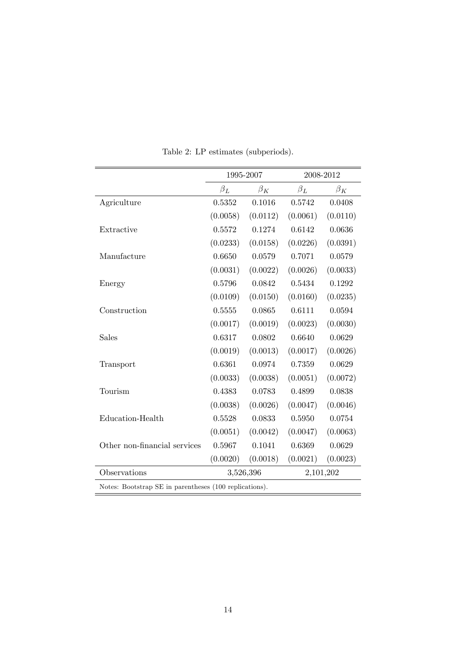|                                                        | 1995-2007              |           |           | 2008-2012 |  |  |  |
|--------------------------------------------------------|------------------------|-----------|-----------|-----------|--|--|--|
|                                                        | $\beta_L$              | $\beta_K$ | $\beta_L$ | $\beta_K$ |  |  |  |
| Agriculture                                            | 0.5352                 | 0.1016    | 0.5742    | 0.0408    |  |  |  |
|                                                        | (0.0058)               | (0.0112)  | (0.0061)  | (0.0110)  |  |  |  |
| Extractive                                             | 0.5572                 | 0.1274    | 0.6142    | 0.0636    |  |  |  |
|                                                        | (0.0233)               | (0.0158)  | (0.0226)  | (0.0391)  |  |  |  |
| Manufacture                                            | 0.6650                 | 0.0579    | 0.7071    | 0.0579    |  |  |  |
|                                                        | (0.0031)               | (0.0022)  | (0.0026)  | (0.0033)  |  |  |  |
| Energy                                                 | 0.5796                 | 0.0842    | 0.5434    | 0.1292    |  |  |  |
|                                                        | (0.0109)               | (0.0150)  | (0.0160)  | (0.0235)  |  |  |  |
| Construction                                           | 0.5555                 | 0.0865    | 0.6111    | 0.0594    |  |  |  |
|                                                        | (0.0017)               | (0.0019)  | (0.0023)  | (0.0030)  |  |  |  |
| Sales                                                  | 0.6317                 | 0.0802    | 0.6640    | 0.0629    |  |  |  |
|                                                        | (0.0019)               | (0.0013)  | (0.0017)  | (0.0026)  |  |  |  |
| Transport                                              | 0.6361                 | 0.0974    | 0.7359    | 0.0629    |  |  |  |
|                                                        | (0.0033)               | (0.0038)  | (0.0051)  | (0.0072)  |  |  |  |
| Tourism                                                | 0.4383                 | 0.0783    | 0.4899    | 0.0838    |  |  |  |
|                                                        | (0.0038)               | (0.0026)  | (0.0047)  | (0.0046)  |  |  |  |
| Education-Health                                       | 0.5528                 | 0.0833    | 0.5950    | 0.0754    |  |  |  |
|                                                        | (0.0051)               | (0.0042)  | (0.0047)  | (0.0063)  |  |  |  |
| Other non-financial services                           | 0.5967                 | 0.1041    | 0.6369    | 0.0629    |  |  |  |
|                                                        | (0.0020)               | (0.0018)  | (0.0021)  | (0.0023)  |  |  |  |
| Observations                                           | 3,526,396<br>2,101,202 |           |           |           |  |  |  |
| Notes: Bootstrap SE in parentheses (100 replications). |                        |           |           |           |  |  |  |

<span id="page-16-0"></span>Table 2: LP estimates (subperiods).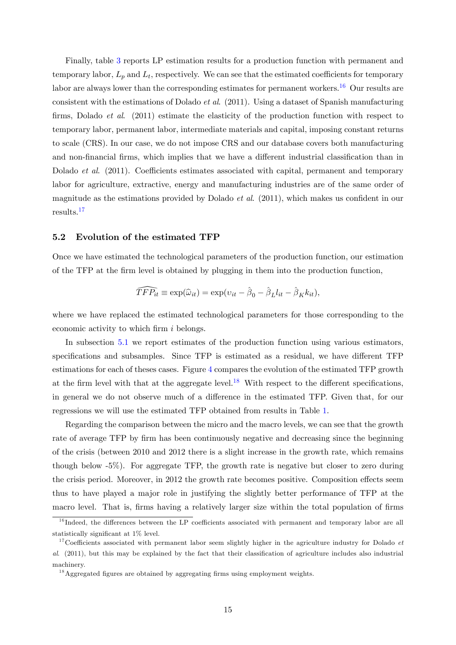Finally, table [3](#page-18-0) reports LP estimation results for a production function with permanent and temporary labor,  $L_p$  and  $L_t$ , respectively. We can see that the estimated coefficients for temporary labor are always lower than the corresponding estimates for permanent workers.<sup>[16](#page-17-0)</sup> Our results are consistent with the estimations of Dolado *et al.* (2011). Using a dataset of Spanish manufacturing firms, Dolado *et al.* (2011) estimate the elasticity of the production function with respect to temporary labor, permanent labor, intermediate materials and capital, imposing constant returns to scale (CRS). In our case, we do not impose CRS and our database covers both manufacturing and non-financial firms, which implies that we have a different industrial classification than in Dolado *et al.* (2011). Coefficients estimates associated with capital, permanent and temporary labor for agriculture, extractive, energy and manufacturing industries are of the same order of magnitude as the estimations provided by Dolado *et al.* (2011), which makes us confident in our results.[17](#page-17-1)

#### 5.2 Evolution of the estimated TFP

Once we have estimated the technological parameters of the production function, our estimation of the TFP at the Örm level is obtained by plugging in them into the production function,

$$
\widehat{TFP_{it}} \equiv \exp(\widehat{\omega}_{it}) = \exp(v_{it} - \widehat{\beta}_0 - \widehat{\beta}_L l_{it} - \widehat{\beta}_K k_{it}),
$$

where we have replaced the estimated technological parameters for those corresponding to the economic activity to which firm  $i$  belongs.

In subsection [5.1](#page-14-4) we report estimates of the production function using various estimators, specifications and subsamples. Since TFP is estimated as a residual, we have different TFP estimations for each of theses cases. Figure [4](#page-19-1) compares the evolution of the estimated TFP growth at the firm level with that at the aggregate level.<sup>[18](#page-17-2)</sup> With respect to the different specifications, in general we do not observe much of a difference in the estimated TFP. Given that, for our regressions we will use the estimated TFP obtained from results in Table [1.](#page-15-0)

Regarding the comparison between the micro and the macro levels, we can see that the growth rate of average TFP by firm has been continuously negative and decreasing since the beginning of the crisis (between 2010 and 2012 there is a slight increase in the growth rate, which remains though below -5%). For aggregate TFP, the growth rate is negative but closer to zero during the crisis period. Moreover, in 2012 the growth rate becomes positive. Composition effects seem thus to have played a major role in justifying the slightly better performance of TFP at the macro level. That is, firms having a relatively larger size within the total population of firms

<span id="page-17-0"></span> $16$  Indeed, the differences between the LP coefficients associated with permanent and temporary labor are all statistically significant at 1% level.

<span id="page-17-1"></span> $17$ Coefficients associated with permanent labor seem slightly higher in the agriculture industry for Dolado  $et$ al. (2011), but this may be explained by the fact that their classification of agriculture includes also industrial machinery.

<span id="page-17-2"></span> $18$ Aggregated figures are obtained by aggregating firms using employment weights.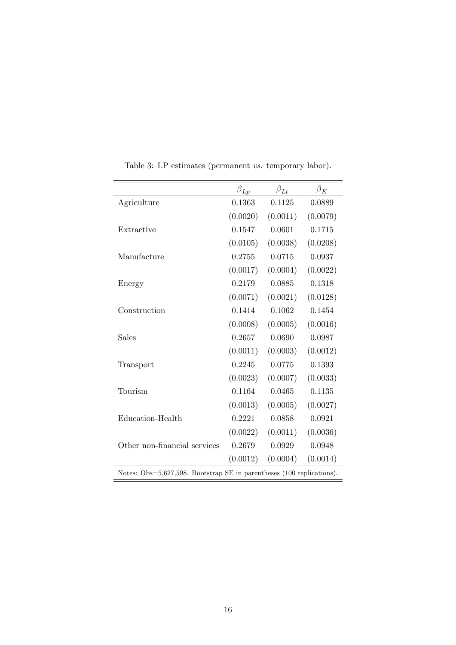|                              | $\beta_{Lp}$ | $\beta_{Lt}$ | $\beta_K$ |
|------------------------------|--------------|--------------|-----------|
| Agriculture                  | 0.1363       | 0.1125       | 0.0889    |
|                              | (0.0020)     | (0.0011)     | (0.0079)  |
| Extractive                   | 0.1547       | 0.0601       | 0.1715    |
|                              | (0.0105)     | (0.0038)     | (0.0208)  |
| Manufacture                  | 0.2755       | 0.0715       | 0.0937    |
|                              | (0.0017)     | (0.0004)     | (0.0022)  |
| Energy                       | 0.2179       | 0.0885       | 0.1318    |
|                              | (0.0071)     | (0.0021)     | (0.0128)  |
| Construction                 | 0.1414       | 0.1062       | 0.1454    |
|                              | (0.0008)     | (0.0005)     | (0.0016)  |
| Sales                        | 0.2657       | 0.0690       | 0.0987    |
|                              | (0.0011)     | (0.0003)     | (0.0012)  |
| Transport                    | 0.2245       | 0.0775       | 0.1393    |
|                              | (0.0023)     | (0.0007)     | (0.0033)  |
| Tourism                      | 0.1164       | 0.0465       | 0.1135    |
|                              | (0.0013)     | (0.0005)     | (0.0027)  |
| Education-Health             | 0.2221       | 0.0858       | 0.0921    |
|                              | (0.0022)     | (0.0011)     | (0.0036)  |
| Other non-financial services | 0.2679       | 0.0929       | 0.0948    |
|                              | (0.0012)     | (0.0004)     | (0.0014)  |

<span id="page-18-0"></span>Table 3: LP estimates (permanent vs. temporary labor).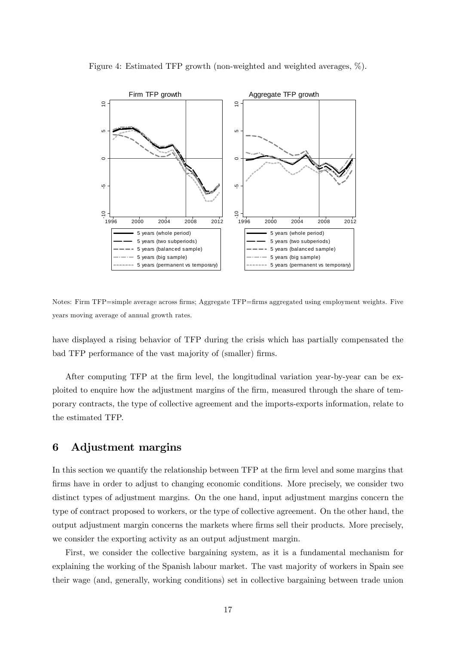

<span id="page-19-1"></span>Figure 4: Estimated TFP growth (non-weighted and weighted averages, %).

Notes: Firm TFP=simple average across firms; Aggregate TFP=firms aggregated using employment weights. Five years moving average of annual growth rates.

have displayed a rising behavior of TFP during the crisis which has partially compensated the bad TFP performance of the vast majority of (smaller) firms.

After computing TFP at the firm level, the longitudinal variation year-by-year can be exploited to enquire how the adjustment margins of the firm, measured through the share of temporary contracts, the type of collective agreement and the imports-exports information, relate to the estimated TFP.

### <span id="page-19-0"></span>6 Adjustment margins

In this section we quantify the relationship between TFP at the firm level and some margins that firms have in order to adjust to changing economic conditions. More precisely, we consider two distinct types of adjustment margins. On the one hand, input adjustment margins concern the type of contract proposed to workers, or the type of collective agreement. On the other hand, the output adjustment margin concerns the markets where Örms sell their products. More precisely, we consider the exporting activity as an output adjustment margin.

First, we consider the collective bargaining system, as it is a fundamental mechanism for explaining the working of the Spanish labour market. The vast majority of workers in Spain see their wage (and, generally, working conditions) set in collective bargaining between trade union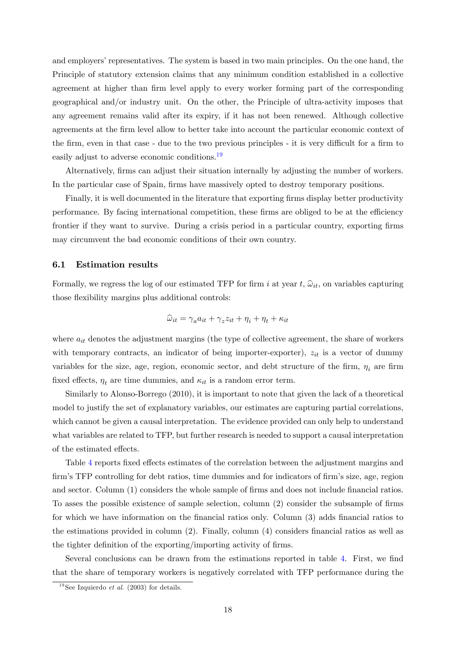and employers' representatives. The system is based in two main principles. On the one hand, the Principle of statutory extension claims that any minimum condition established in a collective agreement at higher than firm level apply to every worker forming part of the corresponding geographical and/or industry unit. On the other, the Principle of ultra-activity imposes that any agreement remains valid after its expiry, if it has not been renewed. Although collective agreements at the firm level allow to better take into account the particular economic context of the firm, even in that case - due to the two previous principles - it is very difficult for a firm to easily adjust to adverse economic conditions.<sup>[19](#page-20-0)</sup>

Alternatively, firms can adjust their situation internally by adjusting the number of workers. In the particular case of Spain, firms have massively opted to destroy temporary positions.

Finally, it is well documented in the literature that exporting firms display better productivity performance. By facing international competition, these firms are obliged to be at the efficiency frontier if they want to survive. During a crisis period in a particular country, exporting firms may circumvent the bad economic conditions of their own country.

#### 6.1 Estimation results

Formally, we regress the log of our estimated TFP for firm i at year t,  $\hat{\omega}_{it}$ , on variables capturing those flexibility margins plus additional controls:

$$
\widehat{\omega}_{it} = \gamma_a a_{it} + \gamma_z z_{it} + \eta_i + \eta_t + \kappa_{it}
$$

where  $a_{it}$  denotes the adjustment margins (the type of collective agreement, the share of workers with temporary contracts, an indicator of being importer-exporter),  $z_{it}$  is a vector of dummy variables for the size, age, region, economic sector, and debt structure of the firm,  $\eta_i$  are firm fixed effects,  $\eta_t$  are time dummies, and  $\kappa_{it}$  is a random error term.

Similarly to Alonso-Borrego (2010), it is important to note that given the lack of a theoretical model to justify the set of explanatory variables, our estimates are capturing partial correlations, which cannot be given a causal interpretation. The evidence provided can only help to understand what variables are related to TFP, but further research is needed to support a causal interpretation of the estimated effects.

Table [4](#page-21-0) reports fixed effects estimates of the correlation between the adjustment margins and firm's TFP controlling for debt ratios, time dummies and for indicators of firm's size, age, region and sector. Column (1) considers the whole sample of firms and does not include financial ratios. To asses the possible existence of sample selection, column (2) consider the subsample of firms for which we have information on the financial ratios only. Column (3) adds financial ratios to the estimations provided in column  $(2)$ . Finally, column  $(4)$  considers financial ratios as well as the tighter definition of the exporting/importing activity of firms.

Several conclusions can be drawn from the estimations reported in table [4.](#page-21-0) First, we find that the share of temporary workers is negatively correlated with TFP performance during the

<span id="page-20-0"></span><sup>&</sup>lt;sup>19</sup>See Izquierdo  $\overline{et \ al.}$  (2003) for details.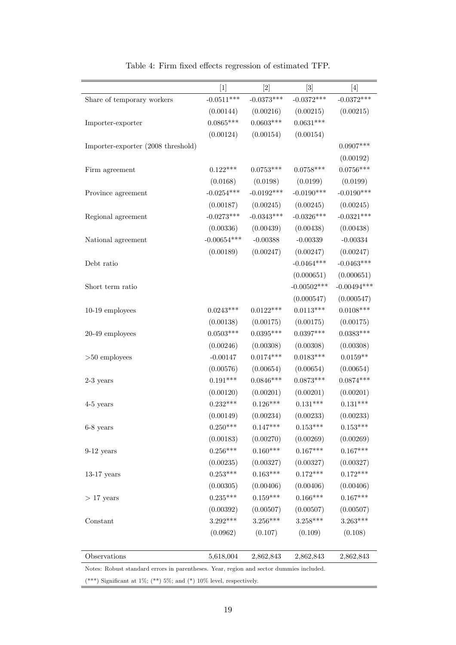| $[1]$<br>$[2]$<br>$[3]$<br>$[4]$<br>$-0.0511***$<br>$-0.0373***$<br>$-0.0372***$<br>$-0.0372***$<br>Share of temporary workers<br>(0.00144)<br>(0.00216)<br>(0.00215)<br>(0.00215)<br>$0.0603***$<br>$0.0631***$<br>$0.0865***$<br>Importer-exporter<br>(0.00124)<br>(0.00154)<br>(0.00154)<br>Importer-exporter (2008 threshold)<br>$0.0907***$<br>(0.00192)<br>$0.0756***$<br>$0.0758***$<br>$0.122***$<br>$0.0753***$<br>Firm agreement<br>(0.0199)<br>(0.0199)<br>(0.0168)<br>(0.0198)<br>$-0.0254***$<br>$-0.0192***$<br>$-0.0190***$<br>$-0.0190***$<br>Province agreement<br>(0.00187)<br>(0.00245)<br>(0.00245)<br>(0.00245)<br>$-0.0321***$<br>$-0.0273***$<br>$-0.0343***$<br>$-0.0326***$<br>Regional agreement<br>(0.00336)<br>(0.00439)<br>(0.00438)<br>(0.00438)<br>$-0.00654***$<br>$-0.00388$<br>$-0.00339$<br>$-0.00334$<br>National agreement<br>(0.00189)<br>(0.00247)<br>(0.00247)<br>(0.00247)<br>$-0.0464***$<br>$-0.0463***$<br>Debt ratio<br>(0.000651)<br>(0.000651)<br>$-0.00502***$<br>$-0.00494***$<br>Short term ratio<br>(0.000547)<br>(0.000547)<br>$0.0243***$<br>$0.0122***$<br>$0.0113***$<br>$0.0108***$<br>10-19 employees<br>(0.00138)<br>(0.00175)<br>(0.00175)<br>(0.00175)<br>$0.0395***$<br>$0.0397***$<br>$0.0383***$<br>$0.0503***$<br>20-49 employees<br>(0.00308)<br>(0.00308)<br>(0.00246)<br>(0.00308)<br>$0.0174***$<br>$-0.00147$<br>$0.0183***$<br>$0.0159**$<br>$>50$ employees<br>(0.00654)<br>(0.00576)<br>(0.00654)<br>(0.00654)<br>$0.0874***$<br>$0.191***$<br>$0.0846***$<br>$0.0873***$<br>$2-3$ years<br>(0.00201)<br>(0.00201)<br>(0.00201)<br>(0.00120)<br>$0.232***$<br>$0.126***$<br>$0.131***$<br>$0.131***$<br>4-5 years<br>(0.00149)<br>(0.00233)<br>(0.00233)<br>(0.00234)<br>$0.250***$<br>$0.147***$<br>$0.153***$<br>$0.153***$<br>$6-8$ years<br>(0.00183)<br>(0.00270)<br>(0.00269)<br>(0.00269)<br>$0.256***$<br>$0.160***$<br>$0.167***$<br>$0.167***$<br>$9-12$ years<br>(0.00235)<br>(0.00327)<br>(0.00327)<br>(0.00327)<br>$0.253***$<br>$0.163***$<br>$0.172***$<br>$0.172***$<br>$13-17$ years<br>(0.00305)<br>(0.00406)<br>(0.00406)<br>(0.00406)<br>$0.235***$<br>$0.159***$<br>$0.166***$<br>$0.167***$<br>$>17$ years<br>(0.00392)<br>(0.00507)<br>(0.00507)<br>(0.00507)<br>$3.263***$<br>3.292***<br>$3.256***$<br>$3.258***$<br>Constant<br>(0.0962)<br>(0.107)<br>(0.109)<br>(0.108)<br>Observations<br>5,618,004<br>2,862,843<br>2,862,843<br>2,862,843 |  |  |  |
|-------------------------------------------------------------------------------------------------------------------------------------------------------------------------------------------------------------------------------------------------------------------------------------------------------------------------------------------------------------------------------------------------------------------------------------------------------------------------------------------------------------------------------------------------------------------------------------------------------------------------------------------------------------------------------------------------------------------------------------------------------------------------------------------------------------------------------------------------------------------------------------------------------------------------------------------------------------------------------------------------------------------------------------------------------------------------------------------------------------------------------------------------------------------------------------------------------------------------------------------------------------------------------------------------------------------------------------------------------------------------------------------------------------------------------------------------------------------------------------------------------------------------------------------------------------------------------------------------------------------------------------------------------------------------------------------------------------------------------------------------------------------------------------------------------------------------------------------------------------------------------------------------------------------------------------------------------------------------------------------------------------------------------------------------------------------------------------------------------------------------------------------------------------------------------------------------------------------------------------------------------------------------------------------------------------------------------------------------------------------------------------------------------------------------------------------------|--|--|--|
|                                                                                                                                                                                                                                                                                                                                                                                                                                                                                                                                                                                                                                                                                                                                                                                                                                                                                                                                                                                                                                                                                                                                                                                                                                                                                                                                                                                                                                                                                                                                                                                                                                                                                                                                                                                                                                                                                                                                                                                                                                                                                                                                                                                                                                                                                                                                                                                                                                                 |  |  |  |
|                                                                                                                                                                                                                                                                                                                                                                                                                                                                                                                                                                                                                                                                                                                                                                                                                                                                                                                                                                                                                                                                                                                                                                                                                                                                                                                                                                                                                                                                                                                                                                                                                                                                                                                                                                                                                                                                                                                                                                                                                                                                                                                                                                                                                                                                                                                                                                                                                                                 |  |  |  |
|                                                                                                                                                                                                                                                                                                                                                                                                                                                                                                                                                                                                                                                                                                                                                                                                                                                                                                                                                                                                                                                                                                                                                                                                                                                                                                                                                                                                                                                                                                                                                                                                                                                                                                                                                                                                                                                                                                                                                                                                                                                                                                                                                                                                                                                                                                                                                                                                                                                 |  |  |  |
|                                                                                                                                                                                                                                                                                                                                                                                                                                                                                                                                                                                                                                                                                                                                                                                                                                                                                                                                                                                                                                                                                                                                                                                                                                                                                                                                                                                                                                                                                                                                                                                                                                                                                                                                                                                                                                                                                                                                                                                                                                                                                                                                                                                                                                                                                                                                                                                                                                                 |  |  |  |
|                                                                                                                                                                                                                                                                                                                                                                                                                                                                                                                                                                                                                                                                                                                                                                                                                                                                                                                                                                                                                                                                                                                                                                                                                                                                                                                                                                                                                                                                                                                                                                                                                                                                                                                                                                                                                                                                                                                                                                                                                                                                                                                                                                                                                                                                                                                                                                                                                                                 |  |  |  |
|                                                                                                                                                                                                                                                                                                                                                                                                                                                                                                                                                                                                                                                                                                                                                                                                                                                                                                                                                                                                                                                                                                                                                                                                                                                                                                                                                                                                                                                                                                                                                                                                                                                                                                                                                                                                                                                                                                                                                                                                                                                                                                                                                                                                                                                                                                                                                                                                                                                 |  |  |  |
|                                                                                                                                                                                                                                                                                                                                                                                                                                                                                                                                                                                                                                                                                                                                                                                                                                                                                                                                                                                                                                                                                                                                                                                                                                                                                                                                                                                                                                                                                                                                                                                                                                                                                                                                                                                                                                                                                                                                                                                                                                                                                                                                                                                                                                                                                                                                                                                                                                                 |  |  |  |
|                                                                                                                                                                                                                                                                                                                                                                                                                                                                                                                                                                                                                                                                                                                                                                                                                                                                                                                                                                                                                                                                                                                                                                                                                                                                                                                                                                                                                                                                                                                                                                                                                                                                                                                                                                                                                                                                                                                                                                                                                                                                                                                                                                                                                                                                                                                                                                                                                                                 |  |  |  |
|                                                                                                                                                                                                                                                                                                                                                                                                                                                                                                                                                                                                                                                                                                                                                                                                                                                                                                                                                                                                                                                                                                                                                                                                                                                                                                                                                                                                                                                                                                                                                                                                                                                                                                                                                                                                                                                                                                                                                                                                                                                                                                                                                                                                                                                                                                                                                                                                                                                 |  |  |  |
|                                                                                                                                                                                                                                                                                                                                                                                                                                                                                                                                                                                                                                                                                                                                                                                                                                                                                                                                                                                                                                                                                                                                                                                                                                                                                                                                                                                                                                                                                                                                                                                                                                                                                                                                                                                                                                                                                                                                                                                                                                                                                                                                                                                                                                                                                                                                                                                                                                                 |  |  |  |
|                                                                                                                                                                                                                                                                                                                                                                                                                                                                                                                                                                                                                                                                                                                                                                                                                                                                                                                                                                                                                                                                                                                                                                                                                                                                                                                                                                                                                                                                                                                                                                                                                                                                                                                                                                                                                                                                                                                                                                                                                                                                                                                                                                                                                                                                                                                                                                                                                                                 |  |  |  |
|                                                                                                                                                                                                                                                                                                                                                                                                                                                                                                                                                                                                                                                                                                                                                                                                                                                                                                                                                                                                                                                                                                                                                                                                                                                                                                                                                                                                                                                                                                                                                                                                                                                                                                                                                                                                                                                                                                                                                                                                                                                                                                                                                                                                                                                                                                                                                                                                                                                 |  |  |  |
|                                                                                                                                                                                                                                                                                                                                                                                                                                                                                                                                                                                                                                                                                                                                                                                                                                                                                                                                                                                                                                                                                                                                                                                                                                                                                                                                                                                                                                                                                                                                                                                                                                                                                                                                                                                                                                                                                                                                                                                                                                                                                                                                                                                                                                                                                                                                                                                                                                                 |  |  |  |
|                                                                                                                                                                                                                                                                                                                                                                                                                                                                                                                                                                                                                                                                                                                                                                                                                                                                                                                                                                                                                                                                                                                                                                                                                                                                                                                                                                                                                                                                                                                                                                                                                                                                                                                                                                                                                                                                                                                                                                                                                                                                                                                                                                                                                                                                                                                                                                                                                                                 |  |  |  |
|                                                                                                                                                                                                                                                                                                                                                                                                                                                                                                                                                                                                                                                                                                                                                                                                                                                                                                                                                                                                                                                                                                                                                                                                                                                                                                                                                                                                                                                                                                                                                                                                                                                                                                                                                                                                                                                                                                                                                                                                                                                                                                                                                                                                                                                                                                                                                                                                                                                 |  |  |  |
|                                                                                                                                                                                                                                                                                                                                                                                                                                                                                                                                                                                                                                                                                                                                                                                                                                                                                                                                                                                                                                                                                                                                                                                                                                                                                                                                                                                                                                                                                                                                                                                                                                                                                                                                                                                                                                                                                                                                                                                                                                                                                                                                                                                                                                                                                                                                                                                                                                                 |  |  |  |
|                                                                                                                                                                                                                                                                                                                                                                                                                                                                                                                                                                                                                                                                                                                                                                                                                                                                                                                                                                                                                                                                                                                                                                                                                                                                                                                                                                                                                                                                                                                                                                                                                                                                                                                                                                                                                                                                                                                                                                                                                                                                                                                                                                                                                                                                                                                                                                                                                                                 |  |  |  |
|                                                                                                                                                                                                                                                                                                                                                                                                                                                                                                                                                                                                                                                                                                                                                                                                                                                                                                                                                                                                                                                                                                                                                                                                                                                                                                                                                                                                                                                                                                                                                                                                                                                                                                                                                                                                                                                                                                                                                                                                                                                                                                                                                                                                                                                                                                                                                                                                                                                 |  |  |  |
|                                                                                                                                                                                                                                                                                                                                                                                                                                                                                                                                                                                                                                                                                                                                                                                                                                                                                                                                                                                                                                                                                                                                                                                                                                                                                                                                                                                                                                                                                                                                                                                                                                                                                                                                                                                                                                                                                                                                                                                                                                                                                                                                                                                                                                                                                                                                                                                                                                                 |  |  |  |
|                                                                                                                                                                                                                                                                                                                                                                                                                                                                                                                                                                                                                                                                                                                                                                                                                                                                                                                                                                                                                                                                                                                                                                                                                                                                                                                                                                                                                                                                                                                                                                                                                                                                                                                                                                                                                                                                                                                                                                                                                                                                                                                                                                                                                                                                                                                                                                                                                                                 |  |  |  |
|                                                                                                                                                                                                                                                                                                                                                                                                                                                                                                                                                                                                                                                                                                                                                                                                                                                                                                                                                                                                                                                                                                                                                                                                                                                                                                                                                                                                                                                                                                                                                                                                                                                                                                                                                                                                                                                                                                                                                                                                                                                                                                                                                                                                                                                                                                                                                                                                                                                 |  |  |  |
|                                                                                                                                                                                                                                                                                                                                                                                                                                                                                                                                                                                                                                                                                                                                                                                                                                                                                                                                                                                                                                                                                                                                                                                                                                                                                                                                                                                                                                                                                                                                                                                                                                                                                                                                                                                                                                                                                                                                                                                                                                                                                                                                                                                                                                                                                                                                                                                                                                                 |  |  |  |
|                                                                                                                                                                                                                                                                                                                                                                                                                                                                                                                                                                                                                                                                                                                                                                                                                                                                                                                                                                                                                                                                                                                                                                                                                                                                                                                                                                                                                                                                                                                                                                                                                                                                                                                                                                                                                                                                                                                                                                                                                                                                                                                                                                                                                                                                                                                                                                                                                                                 |  |  |  |
|                                                                                                                                                                                                                                                                                                                                                                                                                                                                                                                                                                                                                                                                                                                                                                                                                                                                                                                                                                                                                                                                                                                                                                                                                                                                                                                                                                                                                                                                                                                                                                                                                                                                                                                                                                                                                                                                                                                                                                                                                                                                                                                                                                                                                                                                                                                                                                                                                                                 |  |  |  |
|                                                                                                                                                                                                                                                                                                                                                                                                                                                                                                                                                                                                                                                                                                                                                                                                                                                                                                                                                                                                                                                                                                                                                                                                                                                                                                                                                                                                                                                                                                                                                                                                                                                                                                                                                                                                                                                                                                                                                                                                                                                                                                                                                                                                                                                                                                                                                                                                                                                 |  |  |  |
|                                                                                                                                                                                                                                                                                                                                                                                                                                                                                                                                                                                                                                                                                                                                                                                                                                                                                                                                                                                                                                                                                                                                                                                                                                                                                                                                                                                                                                                                                                                                                                                                                                                                                                                                                                                                                                                                                                                                                                                                                                                                                                                                                                                                                                                                                                                                                                                                                                                 |  |  |  |
|                                                                                                                                                                                                                                                                                                                                                                                                                                                                                                                                                                                                                                                                                                                                                                                                                                                                                                                                                                                                                                                                                                                                                                                                                                                                                                                                                                                                                                                                                                                                                                                                                                                                                                                                                                                                                                                                                                                                                                                                                                                                                                                                                                                                                                                                                                                                                                                                                                                 |  |  |  |
|                                                                                                                                                                                                                                                                                                                                                                                                                                                                                                                                                                                                                                                                                                                                                                                                                                                                                                                                                                                                                                                                                                                                                                                                                                                                                                                                                                                                                                                                                                                                                                                                                                                                                                                                                                                                                                                                                                                                                                                                                                                                                                                                                                                                                                                                                                                                                                                                                                                 |  |  |  |
|                                                                                                                                                                                                                                                                                                                                                                                                                                                                                                                                                                                                                                                                                                                                                                                                                                                                                                                                                                                                                                                                                                                                                                                                                                                                                                                                                                                                                                                                                                                                                                                                                                                                                                                                                                                                                                                                                                                                                                                                                                                                                                                                                                                                                                                                                                                                                                                                                                                 |  |  |  |
|                                                                                                                                                                                                                                                                                                                                                                                                                                                                                                                                                                                                                                                                                                                                                                                                                                                                                                                                                                                                                                                                                                                                                                                                                                                                                                                                                                                                                                                                                                                                                                                                                                                                                                                                                                                                                                                                                                                                                                                                                                                                                                                                                                                                                                                                                                                                                                                                                                                 |  |  |  |
|                                                                                                                                                                                                                                                                                                                                                                                                                                                                                                                                                                                                                                                                                                                                                                                                                                                                                                                                                                                                                                                                                                                                                                                                                                                                                                                                                                                                                                                                                                                                                                                                                                                                                                                                                                                                                                                                                                                                                                                                                                                                                                                                                                                                                                                                                                                                                                                                                                                 |  |  |  |
|                                                                                                                                                                                                                                                                                                                                                                                                                                                                                                                                                                                                                                                                                                                                                                                                                                                                                                                                                                                                                                                                                                                                                                                                                                                                                                                                                                                                                                                                                                                                                                                                                                                                                                                                                                                                                                                                                                                                                                                                                                                                                                                                                                                                                                                                                                                                                                                                                                                 |  |  |  |
|                                                                                                                                                                                                                                                                                                                                                                                                                                                                                                                                                                                                                                                                                                                                                                                                                                                                                                                                                                                                                                                                                                                                                                                                                                                                                                                                                                                                                                                                                                                                                                                                                                                                                                                                                                                                                                                                                                                                                                                                                                                                                                                                                                                                                                                                                                                                                                                                                                                 |  |  |  |
|                                                                                                                                                                                                                                                                                                                                                                                                                                                                                                                                                                                                                                                                                                                                                                                                                                                                                                                                                                                                                                                                                                                                                                                                                                                                                                                                                                                                                                                                                                                                                                                                                                                                                                                                                                                                                                                                                                                                                                                                                                                                                                                                                                                                                                                                                                                                                                                                                                                 |  |  |  |
|                                                                                                                                                                                                                                                                                                                                                                                                                                                                                                                                                                                                                                                                                                                                                                                                                                                                                                                                                                                                                                                                                                                                                                                                                                                                                                                                                                                                                                                                                                                                                                                                                                                                                                                                                                                                                                                                                                                                                                                                                                                                                                                                                                                                                                                                                                                                                                                                                                                 |  |  |  |
|                                                                                                                                                                                                                                                                                                                                                                                                                                                                                                                                                                                                                                                                                                                                                                                                                                                                                                                                                                                                                                                                                                                                                                                                                                                                                                                                                                                                                                                                                                                                                                                                                                                                                                                                                                                                                                                                                                                                                                                                                                                                                                                                                                                                                                                                                                                                                                                                                                                 |  |  |  |
|                                                                                                                                                                                                                                                                                                                                                                                                                                                                                                                                                                                                                                                                                                                                                                                                                                                                                                                                                                                                                                                                                                                                                                                                                                                                                                                                                                                                                                                                                                                                                                                                                                                                                                                                                                                                                                                                                                                                                                                                                                                                                                                                                                                                                                                                                                                                                                                                                                                 |  |  |  |
|                                                                                                                                                                                                                                                                                                                                                                                                                                                                                                                                                                                                                                                                                                                                                                                                                                                                                                                                                                                                                                                                                                                                                                                                                                                                                                                                                                                                                                                                                                                                                                                                                                                                                                                                                                                                                                                                                                                                                                                                                                                                                                                                                                                                                                                                                                                                                                                                                                                 |  |  |  |
|                                                                                                                                                                                                                                                                                                                                                                                                                                                                                                                                                                                                                                                                                                                                                                                                                                                                                                                                                                                                                                                                                                                                                                                                                                                                                                                                                                                                                                                                                                                                                                                                                                                                                                                                                                                                                                                                                                                                                                                                                                                                                                                                                                                                                                                                                                                                                                                                                                                 |  |  |  |
|                                                                                                                                                                                                                                                                                                                                                                                                                                                                                                                                                                                                                                                                                                                                                                                                                                                                                                                                                                                                                                                                                                                                                                                                                                                                                                                                                                                                                                                                                                                                                                                                                                                                                                                                                                                                                                                                                                                                                                                                                                                                                                                                                                                                                                                                                                                                                                                                                                                 |  |  |  |

<span id="page-21-0"></span>Table 4: Firm fixed effects regression of estimated TFP.

Notes: Robust standard errors in parentheses. Year, region and sector dummies included.

(\*\*\*) Significant at 1%; (\*\*) 5%; and (\*) 10% level, respectively.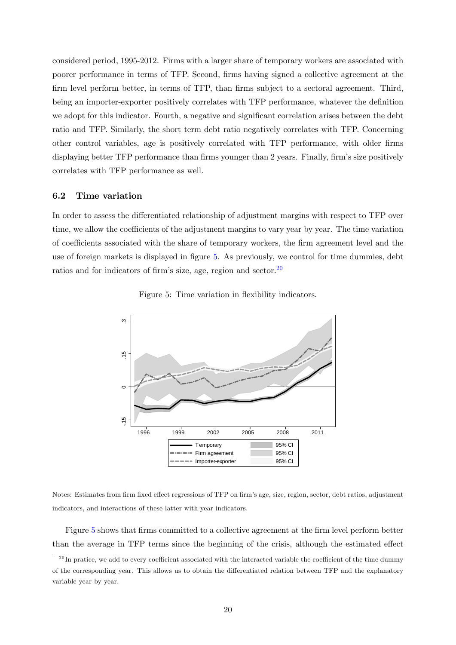considered period, 1995-2012. Firms with a larger share of temporary workers are associated with poorer performance in terms of TFP. Second, Örms having signed a collective agreement at the firm level perform better, in terms of TFP, than firms subject to a sectoral agreement. Third, being an importer-exporter positively correlates with TFP performance, whatever the definition we adopt for this indicator. Fourth, a negative and significant correlation arises between the debt ratio and TFP. Similarly, the short term debt ratio negatively correlates with TFP. Concerning other control variables, age is positively correlated with TFP performance, with older Örms displaying better TFP performance than firms younger than 2 years. Finally, firm's size positively correlates with TFP performance as well.

#### 6.2 Time variation

In order to assess the differentiated relationship of adjustment margins with respect to TFP over time, we allow the coefficients of the adjustment margins to vary year by year. The time variation of coefficients associated with the share of temporary workers, the firm agreement level and the use of foreign markets is displayed in figure [5.](#page-22-0) As previously, we control for time dummies, debt ratios and for indicators of firm's size, age, region and sector.<sup>[20](#page-22-1)</sup>



<span id="page-22-0"></span>Figure 5: Time variation in flexibility indicators.

Notes: Estimates from firm fixed effect regressions of TFP on firm's age, size, region, sector, debt ratios, adjustment indicators, and interactions of these latter with year indicators.

Figure [5](#page-22-0) shows that firms committed to a collective agreement at the firm level perform better than the average in TFP terms since the beginning of the crisis, although the estimated effect

<span id="page-22-1"></span> $^{20}$ In pratice, we add to every coefficient associated with the interacted variable the coefficient of the time dummy of the corresponding year. This allows us to obtain the differentiated relation between TFP and the explanatory variable year by year.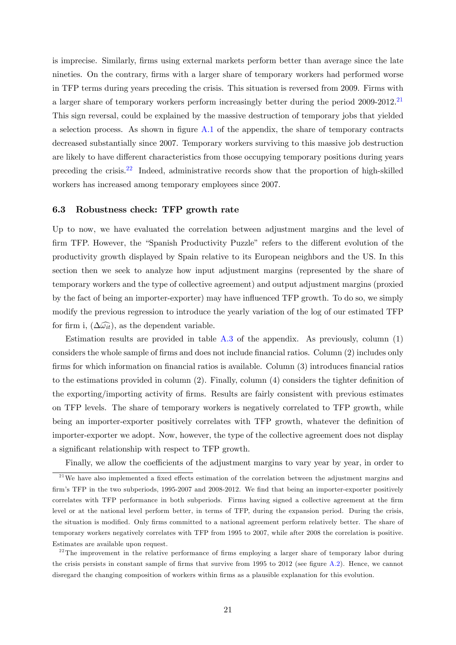is imprecise. Similarly, firms using external markets perform better than average since the late nineties. On the contrary, firms with a larger share of temporary workers had performed worse in TFP terms during years preceding the crisis. This situation is reversed from 2009. Firms with a larger share of temporary workers perform increasingly better during the period  $2009-2012$ .<sup>[21](#page-23-0)</sup> This sign reversal, could be explained by the massive destruction of temporary jobs that yielded a selection process. As shown in figure  $A.1$  of the appendix, the share of temporary contracts decreased substantially since 2007. Temporary workers surviving to this massive job destruction are likely to have different characteristics from those occupying temporary positions during years preceding the crisis.[22](#page-23-1) Indeed, administrative records show that the proportion of high-skilled workers has increased among temporary employees since 2007.

#### 6.3 Robustness check: TFP growth rate

Up to now, we have evaluated the correlation between adjustment margins and the level of firm TFP. However, the "Spanish Productivity Puzzle" refers to the different evolution of the productivity growth displayed by Spain relative to its European neighbors and the US. In this section then we seek to analyze how input adjustment margins (represented by the share of temporary workers and the type of collective agreement) and output adjustment margins (proxied by the fact of being an importer-exporter) may have ináuenced TFP growth. To do so, we simply modify the previous regression to introduce the yearly variation of the log of our estimated TFP for firm i,  $(\Delta \widehat{\omega}_{it})$ , as the dependent variable.

Estimation results are provided in table  $A.3$  of the appendix. As previously, column  $(1)$ considers the whole sample of firms and does not include financial ratios. Column (2) includes only firms for which information on financial ratios is available. Column  $(3)$  introduces financial ratios to the estimations provided in column  $(2)$ . Finally, column  $(4)$  considers the tighter definition of the exporting/importing activity of firms. Results are fairly consistent with previous estimates on TFP levels. The share of temporary workers is negatively correlated to TFP growth, while being an importer-exporter positively correlates with TFP growth, whatever the definition of importer-exporter we adopt. Now, however, the type of the collective agreement does not display a significant relationship with respect to TFP growth.

<span id="page-23-0"></span>Finally, we allow the coefficients of the adjustment margins to vary year by year, in order to

 $^{21}$ We have also implemented a fixed effects estimation of the correlation between the adjustment margins and firm's TFP in the two subperiods, 1995-2007 and 2008-2012. We find that being an importer-exporter positively correlates with TFP performance in both subperiods. Firms having signed a collective agreement at the firm level or at the national level perform better, in terms of TFP, during the expansion period. During the crisis, the situation is modified. Only firms committed to a national agreement perform relatively better. The share of temporary workers negatively correlates with TFP from 1995 to 2007, while after 2008 the correlation is positive. Estimates are available upon request.

<span id="page-23-1"></span> $22$ <sup>22</sup>The improvement in the relative performance of firms employing a larger share of temporary labor during the crisis persists in constant sample of firms that survive from 1995 to 2012 (see figure  $A.2$ ). Hence, we cannot disregard the changing composition of workers within firms as a plausible explanation for this evolution.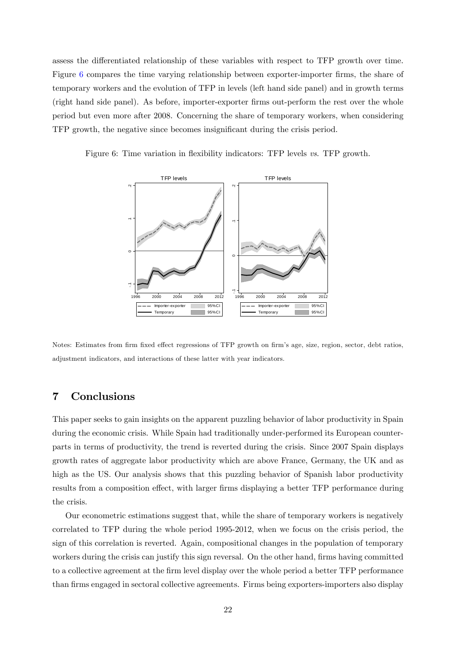assess the differentiated relationship of these variables with respect to TFP growth over time. Figure [6](#page-24-1) compares the time varying relationship between exporter-importer firms, the share of temporary workers and the evolution of TFP in levels (left hand side panel) and in growth terms (right hand side panel). As before, importer-exporter firms out-perform the rest over the whole period but even more after 2008. Concerning the share of temporary workers, when considering TFP growth, the negative since becomes insignificant during the crisis period.

Figure 6: Time variation in flexibility indicators: TFP levels vs. TFP growth.

<span id="page-24-1"></span>

Notes: Estimates from firm fixed effect regressions of TFP growth on firm's age, size, region, sector, debt ratios, adjustment indicators, and interactions of these latter with year indicators.

# <span id="page-24-0"></span>7 Conclusions

This paper seeks to gain insights on the apparent puzzling behavior of labor productivity in Spain during the economic crisis. While Spain had traditionally under-performed its European counterparts in terms of productivity, the trend is reverted during the crisis. Since 2007 Spain displays growth rates of aggregate labor productivity which are above France, Germany, the UK and as high as the US. Our analysis shows that this puzzling behavior of Spanish labor productivity results from a composition effect, with larger firms displaying a better TFP performance during the crisis.

Our econometric estimations suggest that, while the share of temporary workers is negatively correlated to TFP during the whole period 1995-2012, when we focus on the crisis period, the sign of this correlation is reverted. Again, compositional changes in the population of temporary workers during the crisis can justify this sign reversal. On the other hand, firms having committed to a collective agreement at the firm level display over the whole period a better TFP performance than firms engaged in sectoral collective agreements. Firms being exporters-importers also display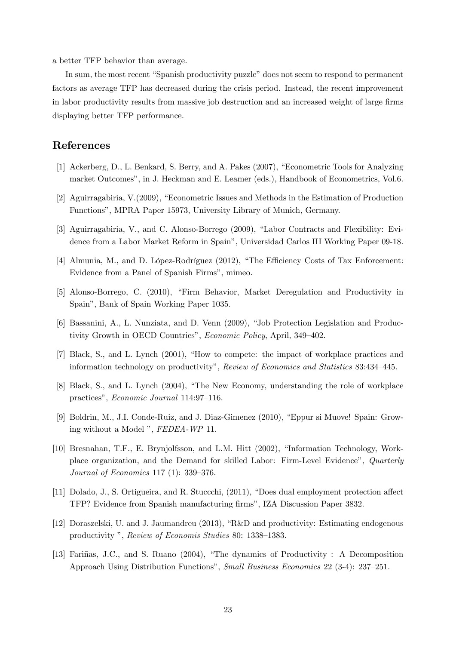a better TFP behavior than average.

In sum, the most recent "Spanish productivity puzzle" does not seem to respond to permanent factors as average TFP has decreased during the crisis period. Instead, the recent improvement in labor productivity results from massive job destruction and an increased weight of large firms displaying better TFP performance.

### References

- [1] Ackerberg, D., L. Benkard, S. Berry, and A. Pakes (2007), "Econometric Tools for Analyzing market Outcomesî, in J. Heckman and E. Leamer (eds.), Handbook of Econometrics, Vol.6.
- [2] Aguirragabiria,  $V(2009)$ , "Econometric Issues and Methods in the Estimation of Production Functionsî, MPRA Paper 15973, University Library of Munich, Germany.
- [3] Aguirragabiria, V., and C. Alonso-Borrego (2009), "Labor Contracts and Flexibility: Evidence from a Labor Market Reform in Spainî, Universidad Carlos III Working Paper 09-18.
- [4] Almunia, M., and D. López-Rodríguez (2012), "The Efficiency Costs of Tax Enforcement: Evidence from a Panel of Spanish Firms", mimeo.
- [5] Alonso-Borrego, C. (2010), "Firm Behavior, Market Deregulation and Productivity in Spainî, Bank of Spain Working Paper 1035.
- [6] Bassanini, A., L. Nunziata, and D. Venn (2009), "Job Protection Legislation and Productivity Growth in OECD Countries", Economic Policy, April, 349-402.
- [7] Black, S., and L. Lynch (2001), "How to compete: the impact of workplace practices and information technology on productivity", Review of Economics and Statistics 83:434-445.
- [8] Black, S., and L. Lynch (2004), "The New Economy, understanding the role of workplace practices", Economic Journal 114:97-116.
- [9] Boldrin, M., J.I. Conde-Ruiz, and J. Diaz-Gimenez (2010), "Eppur si Muove! Spain: Growing without a Model ", FEDEA-WP 11.
- [10] Bresnahan, T.F., E. Brynjolfsson, and L.M. Hitt (2002), "Information Technology, Workplace organization, and the Demand for skilled Labor: Firm-Level Evidence", Quarterly Journal of Economics 117 (1):  $339-376$ .
- [11] Dolado, J., S. Ortigueira, and R. Stuccchi, (2011), "Does dual employment protection affect TFP? Evidence from Spanish manufacturing Örmsî, IZA Discussion Paper 3832.
- [12] Doraszelski, U. and J. Jaumandreu (2013),  $R\&D$  and productivity: Estimating endogenous productivity ", Review of Economis Studies 80: 1338-1383.
- [13] Fariñas, J.C., and S. Ruano (2004), "The dynamics of Productivity : A Decomposition Approach Using Distribution Functions", Small Business Economics 22 (3-4): 237-251.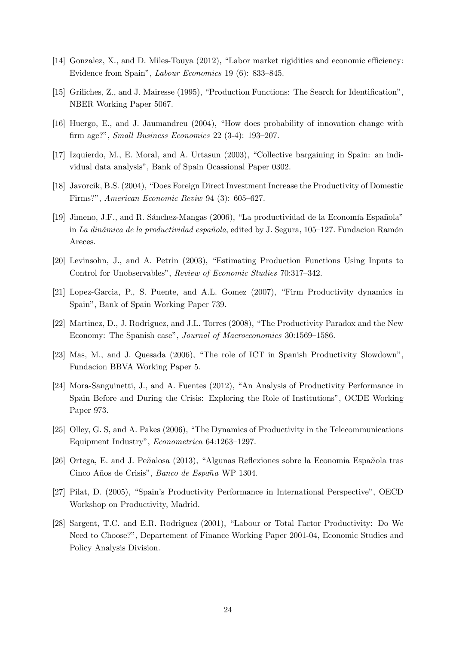- $[14]$  Gonzalez, X., and D. Miles-Touya  $(2012)$ , "Labor market rigidities and economic efficiency: Evidence from Spain", *Labour Economics* 19 (6): 833-845.
- [15] Griliches, Z., and J. Mairesse (1995), "Production Functions: The Search for Identification", NBER Working Paper 5067.
- [16] Huergo, E., and J. Jaumandreu (2004), "How does probability of innovation change with firm age?", Small Business Economics 22  $(3-4)$ : 193–207.
- [17] Izquierdo, M., E. Moral, and A. Urtasun (2003), "Collective bargaining in Spain: an individual data analysisî, Bank of Spain Ocassional Paper 0302.
- [18] Javorcik, B.S. (2004), "Does Foreign Direct Investment Increase the Productivity of Domestic Firms?", American Economic Reviw 94 (3): 605–627.
- $[19]$  Jimeno, J.F., and R. Sánchez-Mangas  $(2006)$ , "La productividad de la Economía Española" in La dinámica de la productividad española, edited by J. Segura,  $105-127$ . Fundacion Ramón Areces.
- [20] Levinsohn, J., and A. Petrin (2003), "Estimating Production Functions Using Inputs to Control for Unobservables", Review of Economic Studies 70:317-342.
- $[21]$  Lopez-Garcia, P., S. Puente, and A.L. Gomez  $(2007)$ , "Firm Productivity dynamics in Spainî, Bank of Spain Working Paper 739.
- [22] Martinez, D., J. Rodriguez, and J.L. Torres (2008), "The Productivity Paradox and the New Economy: The Spanish case", Journal of Macroeconomics 30:1569-1586.
- [23] Mas, M., and J. Quesada  $(2006)$ , "The role of ICT in Spanish Productivity Slowdown", Fundacion BBVA Working Paper 5.
- [24] Mora-Sanguinetti, J., and A. Fuentes (2012), "An Analysis of Productivity Performance in Spain Before and During the Crisis: Exploring the Role of Institutions<sup>"</sup>, OCDE Working Paper 973.
- [25] Olley, G. S, and A. Pakes  $(2006)$ , "The Dynamics of Productivity in the Telecommunications Equipment Industry", Econometrica 64:1263-1297.
- [26] Ortega, E. and J. Peñalosa (2013), "Algunas Reflexiones sobre la Economia Española tras Cinco Años de Crisis", Banco de España WP 1304.
- [27] Pilat, D. (2005), "Spain's Productivity Performance in International Perspective", OECD Workshop on Productivity, Madrid.
- [28] Sargent, T.C. and E.R. Rodriguez (2001), "Labour or Total Factor Productivity: Do We Need to Choose?î, Departement of Finance Working Paper 2001-04, Economic Studies and Policy Analysis Division.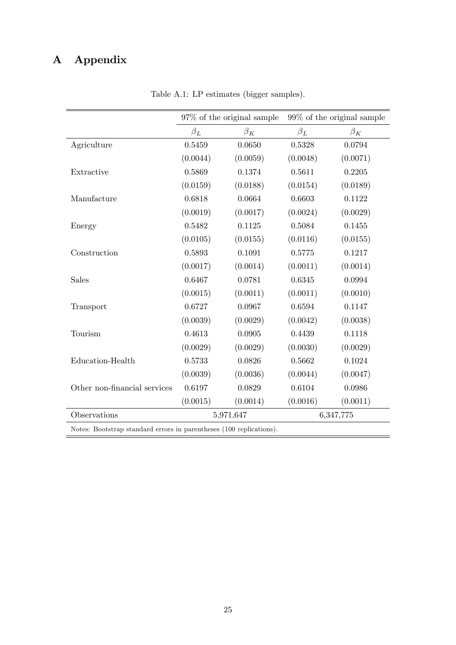# A Appendix

|                                                                     |           | $97\%$ of the original sample |           | $99\%$ of the original sample |  |  |
|---------------------------------------------------------------------|-----------|-------------------------------|-----------|-------------------------------|--|--|
|                                                                     | $\beta_L$ | $\beta_K$                     | $\beta_L$ | $\beta_K$                     |  |  |
| Agriculture                                                         | 0.5459    | 0.0650                        | 0.5328    | 0.0794                        |  |  |
|                                                                     | (0.0044)  | (0.0059)                      | (0.0048)  | (0.0071)                      |  |  |
| Extractive                                                          | 0.5869    | 0.1374                        | 0.5611    | 0.2205                        |  |  |
|                                                                     | (0.0159)  | (0.0188)                      | (0.0154)  | (0.0189)                      |  |  |
| Manufacture                                                         | 0.6818    | 0.0664                        | 0.6603    | 0.1122                        |  |  |
|                                                                     | (0.0019)  | (0.0017)                      | (0.0024)  | (0.0029)                      |  |  |
| Energy                                                              | 0.5482    | 0.1125                        | 0.5084    | 0.1455                        |  |  |
|                                                                     | (0.0105)  | (0.0155)                      | (0.0116)  | (0.0155)                      |  |  |
| Construction                                                        | 0.5893    | 0.1091                        | 0.5775    | 0.1217                        |  |  |
|                                                                     | (0.0017)  | (0.0014)                      | (0.0011)  | (0.0014)                      |  |  |
| Sales                                                               | 0.6467    | 0.0781                        | 0.6345    | 0.0994                        |  |  |
|                                                                     | (0.0015)  | (0.0011)                      | (0.0011)  | (0.0010)                      |  |  |
| Transport                                                           | 0.6727    | 0.0967                        | 0.6594    | 0.1147                        |  |  |
|                                                                     | (0.0039)  | (0.0029)                      | (0.0042)  | (0.0038)                      |  |  |
| Tourism                                                             | 0.4613    | 0.0905                        | 0.4439    | 0.1118                        |  |  |
|                                                                     | (0.0029)  | (0.0029)                      | (0.0030)  | (0.0029)                      |  |  |
| Education-Health                                                    | 0.5733    | 0.0826                        | 0.5662    | 0.1024                        |  |  |
|                                                                     | (0.0039)  | (0.0036)                      | (0.0044)  | (0.0047)                      |  |  |
| Other non-financial services                                        | 0.6197    | 0.0829                        | 0.6104    | 0.0986                        |  |  |
|                                                                     | (0.0015)  | (0.0014)                      | (0.0016)  | (0.0011)                      |  |  |
| Observations                                                        |           | 5,971,647                     | 6,347,775 |                               |  |  |
| Notes: Bootstrap standard errors in parentheses (100 replications). |           |                               |           |                               |  |  |

<span id="page-27-0"></span>Table A.1: LP estimates (bigger samples).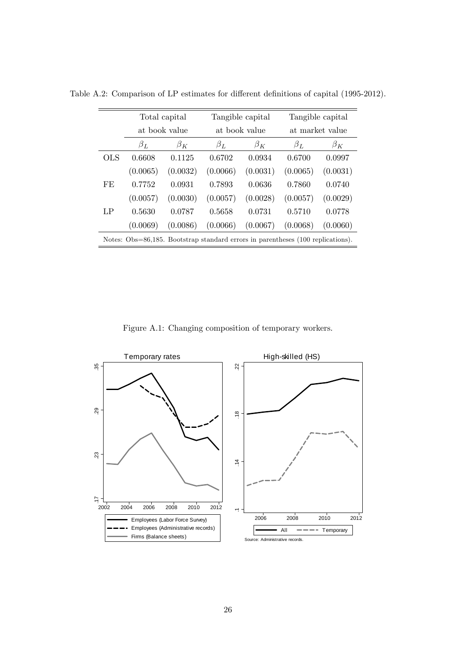<span id="page-28-1"></span>

|                                                                                 | Total capital |           |               | Tangible capital | Tangible capital |           |
|---------------------------------------------------------------------------------|---------------|-----------|---------------|------------------|------------------|-----------|
|                                                                                 | at book value |           | at book value |                  | at market value  |           |
|                                                                                 | $\beta_L$     | $\beta_K$ | $\beta_L$     | $\beta_K$        | $\beta_L$        | $\beta_K$ |
| OLS                                                                             | 0.6608        | 0.1125    | 0.6702        | 0.0934           | 0.6700           | 0.0997    |
|                                                                                 | (0.0065)      | (0.0032)  | (0.0066)      | (0.0031)         | (0.0065)         | (0.0031)  |
| FE                                                                              | 0.7752        | 0.0931    | 0.7893        | 0.0636           | 0.7860           | 0.0740    |
|                                                                                 | (0.0057)      | (0.0030)  | (0.0057)      | (0.0028)         | (0.0057)         | (0.0029)  |
| LP                                                                              | 0.5630        | 0.0787    | 0.5658        | 0.0731           | 0.5710           | 0.0778    |
|                                                                                 | (0.0069)      | (0.0086)  | (0.0066)      | (0.0067)         | (0.0068)         | (0.0060)  |
| Notes: Obs=86,185. Bootstrap standard errors in parentheses (100 replications). |               |           |               |                  |                  |           |

Table A.2: Comparison of LP estimates for different definitions of capital (1995-2012).

<span id="page-28-0"></span>Figure A.1: Changing composition of temporary workers.

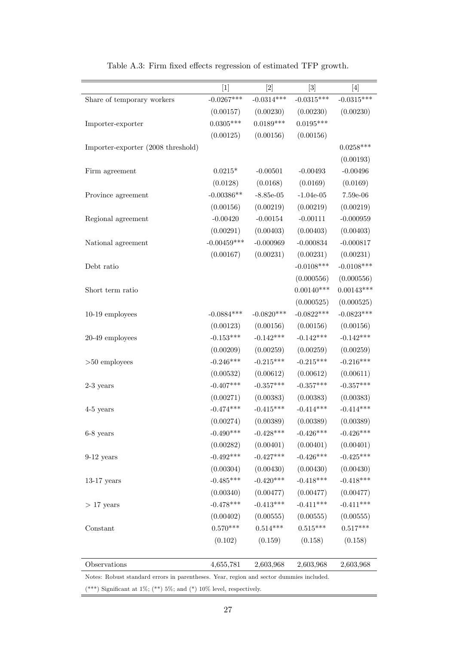|                                    | $[1]$         | $[2]$        | $[3]$        | $[4]$        |
|------------------------------------|---------------|--------------|--------------|--------------|
| Share of temporary workers         | $-0.0267***$  | $-0.0314***$ | $-0.0315***$ | $-0.0315***$ |
|                                    | (0.00157)     | (0.00230)    | (0.00230)    | (0.00230)    |
| Importer-exporter                  | $0.0305***$   | $0.0189***$  | $0.0195***$  |              |
|                                    | (0.00125)     | (0.00156)    | (0.00156)    |              |
| Importer-exporter (2008 threshold) |               |              |              | $0.0258***$  |
|                                    |               |              |              | (0.00193)    |
| Firm agreement                     | $0.0215*$     | $-0.00501$   | $-0.00493$   | $-0.00496$   |
|                                    | (0.0128)      | (0.0168)     | (0.0169)     | (0.0169)     |
| Province agreement                 | $-0.00386**$  | $-8.85e-05$  | $-1.04e-05$  | $7.59e-06$   |
|                                    | (0.00156)     | (0.00219)    | (0.00219)    | (0.00219)    |
| Regional agreement                 | $-0.00420$    | $-0.00154$   | $-0.00111$   | $-0.000959$  |
|                                    | (0.00291)     | (0.00403)    | (0.00403)    | (0.00403)    |
| National agreement                 | $-0.00459***$ | $-0.000969$  | $-0.000834$  | $-0.000817$  |
|                                    | (0.00167)     | (0.00231)    | (0.00231)    | (0.00231)    |
| Debt ratio                         |               |              | $-0.0108***$ | $-0.0108***$ |
|                                    |               |              | (0.000556)   | (0.000556)   |
| Short term ratio                   |               |              | $0.00140***$ | $0.00143***$ |
|                                    |               |              | (0.000525)   | (0.000525)   |
| $10-19$ employees                  | $-0.0884***$  | $-0.0820***$ | $-0.0822***$ | $-0.0823***$ |
|                                    | (0.00123)     | (0.00156)    | (0.00156)    | (0.00156)    |
| 20-49 employees                    | $-0.153***$   | $-0.142***$  | $-0.142***$  | $-0.142***$  |
|                                    | (0.00209)     | (0.00259)    | (0.00259)    | (0.00259)    |
| $>50$ employees                    | $-0.246***$   | $-0.215***$  | $-0.215***$  | $-0.216***$  |
|                                    | (0.00532)     | (0.00612)    | (0.00612)    | (0.00611)    |
| $2-3$ years                        | $-0.407***$   | $-0.357***$  | $-0.357***$  | $-0.357***$  |
|                                    | (0.00271)     | (0.00383)    | (0.00383)    | (0.00383)    |
| 4-5 years                          | $-0.474***$   | $-0.415***$  | $-0.414***$  | $-0.414***$  |
|                                    | (0.00274)     | (0.00389)    | (0.00389)    | (0.00389)    |
| 6-8 years                          | $-0.490***$   | $-0.428***$  | $-0.426***$  | $-0.426***$  |
|                                    | (0.00282)     | (0.00401)    | (0.00401)    | (0.00401)    |
| $9-12$ years                       | $-0.492***$   | $-0.427***$  | $-0.426***$  | $-0.425***$  |
|                                    | (0.00304)     | (0.00430)    | (0.00430)    | (0.00430)    |
| $13-17$ years                      | $-0.485***$   | $-0.420***$  | $-0.418***$  | $-0.418***$  |
|                                    | (0.00340)     | (0.00477)    | (0.00477)    | (0.00477)    |
| $>17$ years                        | $-0.478***$   | $-0.413***$  | $-0.411***$  | $-0.411***$  |
|                                    | (0.00402)     | (0.00555)    | (0.00555)    | (0.00555)    |
| Constant                           | $0.570***$    | $0.514***$   | $0.515***$   | $0.517***$   |
|                                    | (0.102)       | (0.159)      | (0.158)      | (0.158)      |
| Observations                       | 4,655,781     | 2,603,968    | 2,603,968    | 2,603,968    |
|                                    |               |              |              |              |

<span id="page-29-0"></span>Table A.3: Firm fixed effects regression of estimated TFP growth.

Notes: Robust standard errors in parentheses. Year, region and sector dummies included.

(\*\*\*) Significant at  $1\%$ ; (\*\*)  $5\%$ ; and (\*)  $10\%$  level, respectively.